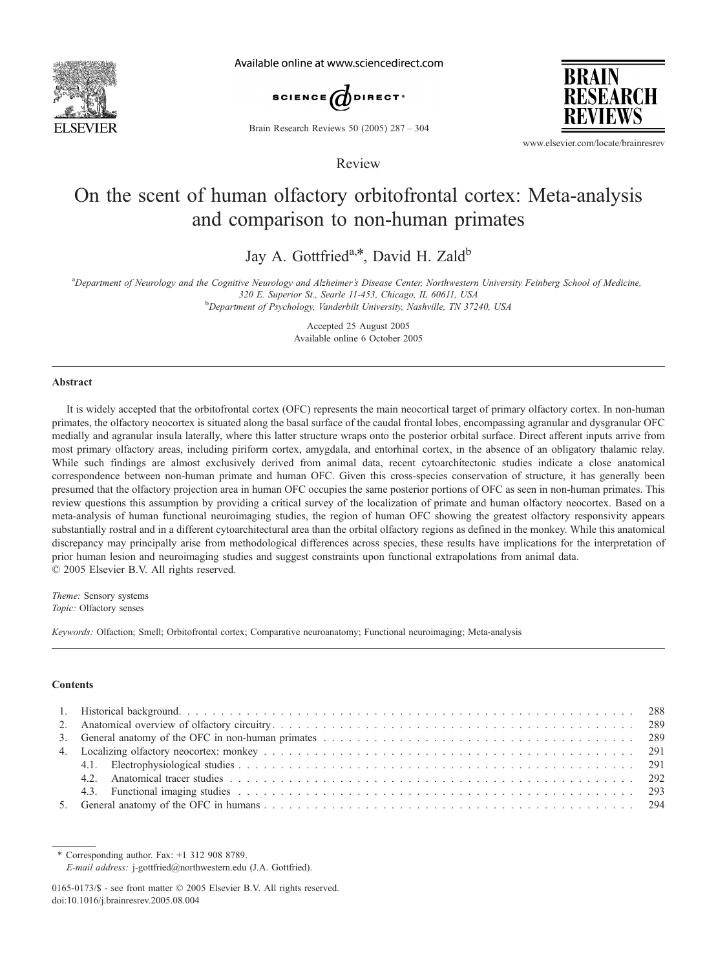

Available online at www.sciencedirect.com



Brain Research Reviews 50 (2005) 287 – 304

Review



www.elsevier.com/locate/brainresrev

# On the scent of human olfactory orbitofrontal cortex: Meta-analysis and comparison to non-human primates

Jay A. Gottfried<sup>a,\*</sup>, David H. Zald<sup>b</sup>

a<br>Apepartment of Neurology and the Cognitive Neurology and Alzheimer's Disease Center, Northwestern University Feinberg School of Medicine,

320 E. Superior St., Searle 11-453, Chicago, IL 60611, USA

<sup>b</sup>Department of Psychology, Vanderbilt University, Nashville, TN 37240, USA

Accepted 25 August 2005 Available online 6 October 2005

### Abstract

It is widely accepted that the orbitofrontal cortex (OFC) represents the main neocortical target of primary olfactory cortex. In non-human primates, the olfactory neocortex is situated along the basal surface of the caudal frontal lobes, encompassing agranular and dysgranular OFC medially and agranular insula laterally, where this latter structure wraps onto the posterior orbital surface. Direct afferent inputs arrive from most primary olfactory areas, including piriform cortex, amygdala, and entorhinal cortex, in the absence of an obligatory thalamic relay. While such findings are almost exclusively derived from animal data, recent cytoarchitectonic studies indicate a close anatomical correspondence between non-human primate and human OFC. Given this cross-species conservation of structure, it has generally been presumed that the olfactory projection area in human OFC occupies the same posterior portions of OFC as seen in non-human primates. This review questions this assumption by providing a critical survey of the localization of primate and human olfactory neocortex. Based on a meta-analysis of human functional neuroimaging studies, the region of human OFC showing the greatest olfactory responsivity appears substantially rostral and in a different cytoarchitectural area than the orbital olfactory regions as defined in the monkey. While this anatomical discrepancy may principally arise from methodological differences across species, these results have implications for the interpretation of prior human lesion and neuroimaging studies and suggest constraints upon functional extrapolations from animal data.  $© 2005 Elsevier B.V. All rights reserved.$ 

Theme: Sensory systems Topic: Olfactory senses

Keywords: Olfaction; Smell; Orbitofrontal cortex; Comparative neuroanatomy; Functional neuroimaging; Meta-analysis

### **Contents**

| 4.3. Functional imaging studies et al., and a series of the contract of the contract of the contract of the contract of the contract of the contract of the contract of the contract of the contract of the contract of the co |  |  |  |  |  |
|--------------------------------------------------------------------------------------------------------------------------------------------------------------------------------------------------------------------------------|--|--|--|--|--|
|                                                                                                                                                                                                                                |  |  |  |  |  |

Corresponding author. Fax:  $+1$  312 908 8789.

E-mail address: j-gottfried@northwestern.edu (J.A. Gottfried).

<sup>0165-0173/\$ -</sup> see front matter © 2005 Elsevier B.V. All rights reserved. doi:10.1016/j.brainresrev.2005.08.004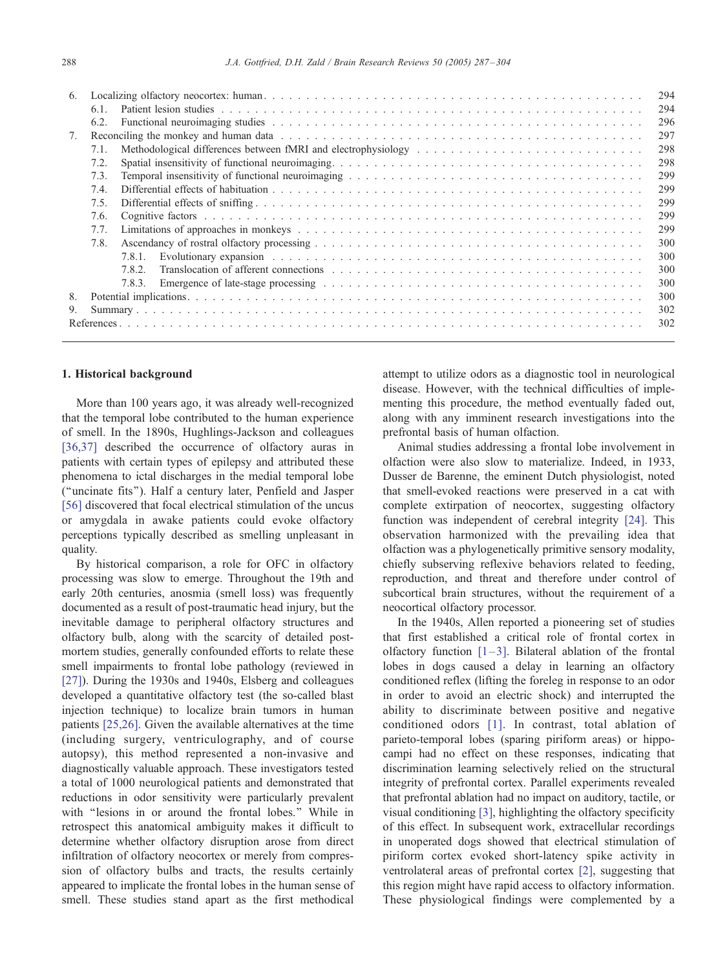| 6. |      |                                                                                                                                                                                                                                                 |  |  |  |  |  |  |  |
|----|------|-------------------------------------------------------------------------------------------------------------------------------------------------------------------------------------------------------------------------------------------------|--|--|--|--|--|--|--|
|    | 6.1. | 294                                                                                                                                                                                                                                             |  |  |  |  |  |  |  |
|    | 6.2. | 296                                                                                                                                                                                                                                             |  |  |  |  |  |  |  |
| 7. |      |                                                                                                                                                                                                                                                 |  |  |  |  |  |  |  |
|    | 7.1. | 298                                                                                                                                                                                                                                             |  |  |  |  |  |  |  |
|    | 7.2. | 298                                                                                                                                                                                                                                             |  |  |  |  |  |  |  |
|    | 7.3. | 299                                                                                                                                                                                                                                             |  |  |  |  |  |  |  |
|    | 7.4. | 299                                                                                                                                                                                                                                             |  |  |  |  |  |  |  |
|    | 7.5. | 299                                                                                                                                                                                                                                             |  |  |  |  |  |  |  |
|    | 7.6. | 299                                                                                                                                                                                                                                             |  |  |  |  |  |  |  |
|    | 7.7. | 299                                                                                                                                                                                                                                             |  |  |  |  |  |  |  |
|    | 7.8. | 300                                                                                                                                                                                                                                             |  |  |  |  |  |  |  |
|    |      | 300<br>Evolutionary expansion (a) and a contract of the contract of the contract of the contract of the contract of the contract of the contract of the contract of the contract of the contract of the contract of the contract of t<br>7.8.1. |  |  |  |  |  |  |  |
|    |      | 300<br>7.8.2.                                                                                                                                                                                                                                   |  |  |  |  |  |  |  |
|    |      | 300<br>7.8.3.                                                                                                                                                                                                                                   |  |  |  |  |  |  |  |
| 8. |      | 300                                                                                                                                                                                                                                             |  |  |  |  |  |  |  |
|    | 302  |                                                                                                                                                                                                                                                 |  |  |  |  |  |  |  |
|    |      |                                                                                                                                                                                                                                                 |  |  |  |  |  |  |  |
|    |      |                                                                                                                                                                                                                                                 |  |  |  |  |  |  |  |

### 1. Historical background

More than 100 years ago, it was already well-recognized that the temporal lobe contributed to the human experience of smell. In the 1890s, Hughlings-Jackson and colleagues [\[36,37\]](#page-16-0) described the occurrence of olfactory auras in patients with certain types of epilepsy and attributed these phenomena to ictal discharges in the medial temporal lobe (''uncinate fits''). Half a century later, Penfield and Jasper [\[56\]](#page-16-0) discovered that focal electrical stimulation of the uncus or amygdala in awake patients could evoke olfactory perceptions typically described as smelling unpleasant in quality.

By historical comparison, a role for OFC in olfactory processing was slow to emerge. Throughout the 19th and early 20th centuries, anosmia (smell loss) was frequently documented as a result of post-traumatic head injury, but the inevitable damage to peripheral olfactory structures and olfactory bulb, along with the scarcity of detailed postmortem studies, generally confounded efforts to relate these smell impairments to frontal lobe pathology (reviewed in [\[27\]](#page-16-0)). During the 1930s and 1940s, Elsberg and colleagues developed a quantitative olfactory test (the so-called blast injection technique) to localize brain tumors in human patients [\[25,26\].](#page-15-0) Given the available alternatives at the time (including surgery, ventriculography, and of course autopsy), this method represented a non-invasive and diagnostically valuable approach. These investigators tested a total of 1000 neurological patients and demonstrated that reductions in odor sensitivity were particularly prevalent with "lesions in or around the frontal lobes." While in retrospect this anatomical ambiguity makes it difficult to determine whether olfactory disruption arose from direct infiltration of olfactory neocortex or merely from compression of olfactory bulbs and tracts, the results certainly appeared to implicate the frontal lobes in the human sense of smell. These studies stand apart as the first methodical attempt to utilize odors as a diagnostic tool in neurological disease. However, with the technical difficulties of implementing this procedure, the method eventually faded out, along with any imminent research investigations into the prefrontal basis of human olfaction.

Animal studies addressing a frontal lobe involvement in olfaction were also slow to materialize. Indeed, in 1933, Dusser de Barenne, the eminent Dutch physiologist, noted that smell-evoked reactions were preserved in a cat with complete extirpation of neocortex, suggesting olfactory function was independent of cerebral integrity [\[24\].](#page-15-0) This observation harmonized with the prevailing idea that olfaction was a phylogenetically primitive sensory modality, chiefly subserving reflexive behaviors related to feeding, reproduction, and threat and therefore under control of subcortical brain structures, without the requirement of a neocortical olfactory processor.

In the 1940s, Allen reported a pioneering set of studies that first established a critical role of frontal cortex in olfactory function  $[1-3]$ . Bilateral ablation of the frontal lobes in dogs caused a delay in learning an olfactory conditioned reflex (lifting the foreleg in response to an odor in order to avoid an electric shock) and interrupted the ability to discriminate between positive and negative conditioned odors [\[1\].](#page-15-0) In contrast, total ablation of parieto-temporal lobes (sparing piriform areas) or hippocampi had no effect on these responses, indicating that discrimination learning selectively relied on the structural integrity of prefrontal cortex. Parallel experiments revealed that prefrontal ablation had no impact on auditory, tactile, or visual conditioning [\[3\],](#page-15-0) highlighting the olfactory specificity of this effect. In subsequent work, extracellular recordings in unoperated dogs showed that electrical stimulation of piriform cortex evoked short-latency spike activity in ventrolateral areas of prefrontal cortex [\[2\],](#page-15-0) suggesting that this region might have rapid access to olfactory information. These physiological findings were complemented by a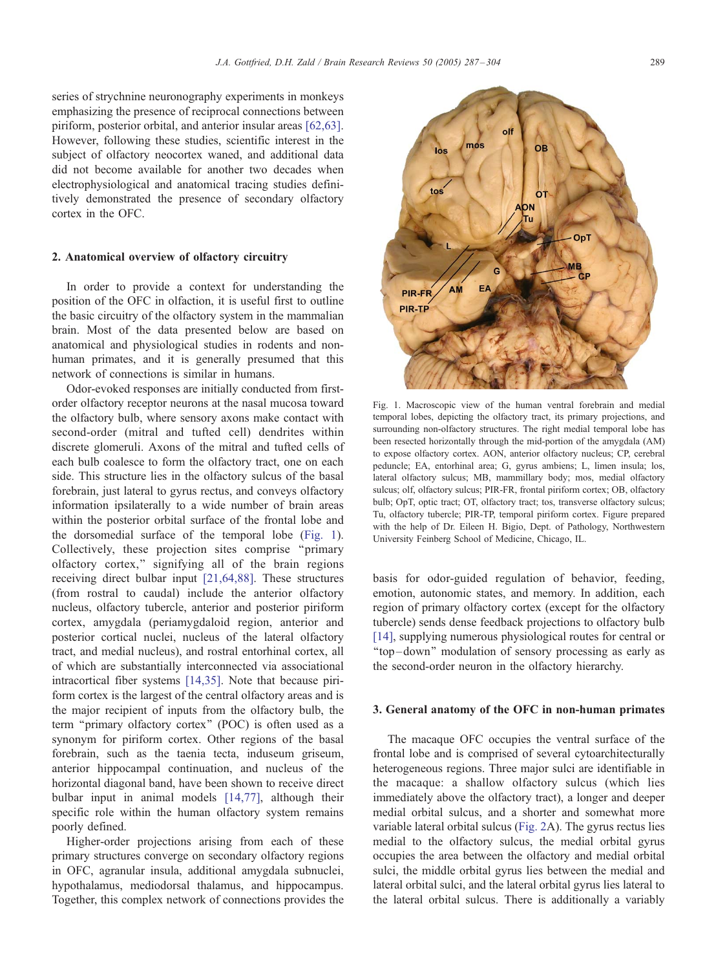<span id="page-2-0"></span>series of strychnine neuronography experiments in monkeys emphasizing the presence of reciprocal connections between piriform, posterior orbital, and anterior insular areas [\[62,63\].](#page-16-0) However, following these studies, scientific interest in the subject of olfactory neocortex waned, and additional data did not become available for another two decades when electrophysiological and anatomical tracing studies definitively demonstrated the presence of secondary olfactory cortex in the OFC.

### 2. Anatomical overview of olfactory circuitry

In order to provide a context for understanding the position of the OFC in olfaction, it is useful first to outline the basic circuitry of the olfactory system in the mammalian brain. Most of the data presented below are based on anatomical and physiological studies in rodents and nonhuman primates, and it is generally presumed that this network of connections is similar in humans.

Odor-evoked responses are initially conducted from firstorder olfactory receptor neurons at the nasal mucosa toward the olfactory bulb, where sensory axons make contact with second-order (mitral and tufted cell) dendrites within discrete glomeruli. Axons of the mitral and tufted cells of each bulb coalesce to form the olfactory tract, one on each side. This structure lies in the olfactory sulcus of the basal forebrain, just lateral to gyrus rectus, and conveys olfactory information ipsilaterally to a wide number of brain areas within the posterior orbital surface of the frontal lobe and the dorsomedial surface of the temporal lobe (Fig. 1). Collectively, these projection sites comprise ''primary olfactory cortex,'' signifying all of the brain regions receiving direct bulbar input [\[21,64,88\].](#page-15-0) These structures (from rostral to caudal) include the anterior olfactory nucleus, olfactory tubercle, anterior and posterior piriform cortex, amygdala (periamygdaloid region, anterior and posterior cortical nuclei, nucleus of the lateral olfactory tract, and medial nucleus), and rostral entorhinal cortex, all of which are substantially interconnected via associational intracortical fiber systems [\[14,35\].](#page-15-0) Note that because piriform cortex is the largest of the central olfactory areas and is the major recipient of inputs from the olfactory bulb, the term "primary olfactory cortex" (POC) is often used as a synonym for piriform cortex. Other regions of the basal forebrain, such as the taenia tecta, induseum griseum, anterior hippocampal continuation, and nucleus of the horizontal diagonal band, have been shown to receive direct bulbar input in animal models [\[14,77\],](#page-15-0) although their specific role within the human olfactory system remains poorly defined.

Higher-order projections arising from each of these primary structures converge on secondary olfactory regions in OFC, agranular insula, additional amygdala subnuclei, hypothalamus, mediodorsal thalamus, and hippocampus. Together, this complex network of connections provides the



Fig. 1. Macroscopic view of the human ventral forebrain and medial temporal lobes, depicting the olfactory tract, its primary projections, and surrounding non-olfactory structures. The right medial temporal lobe has been resected horizontally through the mid-portion of the amygdala (AM) to expose olfactory cortex. AON, anterior olfactory nucleus; CP, cerebral peduncle; EA, entorhinal area; G, gyrus ambiens; L, limen insula; los, lateral olfactory sulcus; MB, mammillary body; mos, medial olfactory sulcus; olf, olfactory sulcus; PIR-FR, frontal piriform cortex; OB, olfactory bulb; OpT, optic tract; OT, olfactory tract; tos, transverse olfactory sulcus; Tu, olfactory tubercle; PIR-TP, temporal piriform cortex. Figure prepared with the help of Dr. Eileen H. Bigio, Dept. of Pathology, Northwestern University Feinberg School of Medicine, Chicago, IL.

basis for odor-guided regulation of behavior, feeding, emotion, autonomic states, and memory. In addition, each region of primary olfactory cortex (except for the olfactory tubercle) sends dense feedback projections to olfactory bulb [\[14\],](#page-15-0) supplying numerous physiological routes for central or ''top –down'' modulation of sensory processing as early as the second-order neuron in the olfactory hierarchy.

### 3. General anatomy of the OFC in non-human primates

The macaque OFC occupies the ventral surface of the frontal lobe and is comprised of several cytoarchitecturally heterogeneous regions. Three major sulci are identifiable in the macaque: a shallow olfactory sulcus (which lies immediately above the olfactory tract), a longer and deeper medial orbital sulcus, and a shorter and somewhat more variable lateral orbital sulcus ([Fig. 2A](#page-3-0)). The gyrus rectus lies medial to the olfactory sulcus, the medial orbital gyrus occupies the area between the olfactory and medial orbital sulci, the middle orbital gyrus lies between the medial and lateral orbital sulci, and the lateral orbital gyrus lies lateral to the lateral orbital sulcus. There is additionally a variably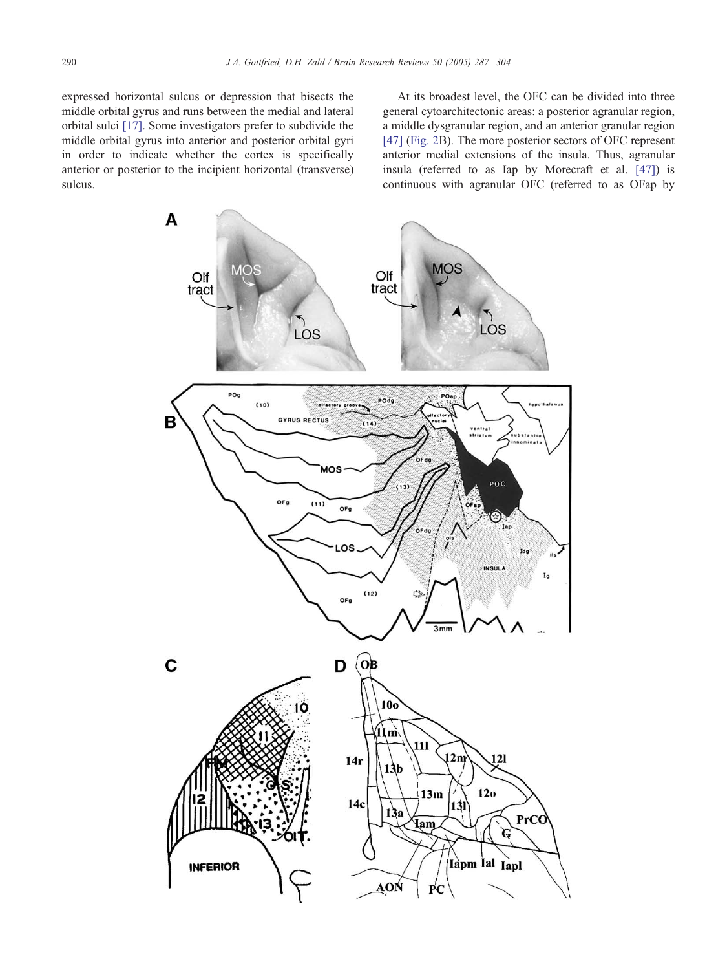<span id="page-3-0"></span>expressed horizontal sulcus or depression that bisects the middle orbital gyrus and runs between the medial and lateral orbital sulci [\[17\].](#page-15-0) Some investigators prefer to subdivide the middle orbital gyrus into anterior and posterior orbital gyri in order to indicate whether the cortex is specifically anterior or posterior to the incipient horizontal (transverse) sulcus.

At its broadest level, the OFC can be divided into three general cytoarchitectonic areas: a posterior agranular region, a middle dysgranular region, and an anterior granular region [\[47\]](#page-16-0) (Fig. 2B). The more posterior sectors of OFC represent anterior medial extensions of the insula. Thus, agranular insula (referred to as Iap by Morecraft et al. [\[47\]\)](#page-16-0) is continuous with agranular OFC (referred to as OFap by

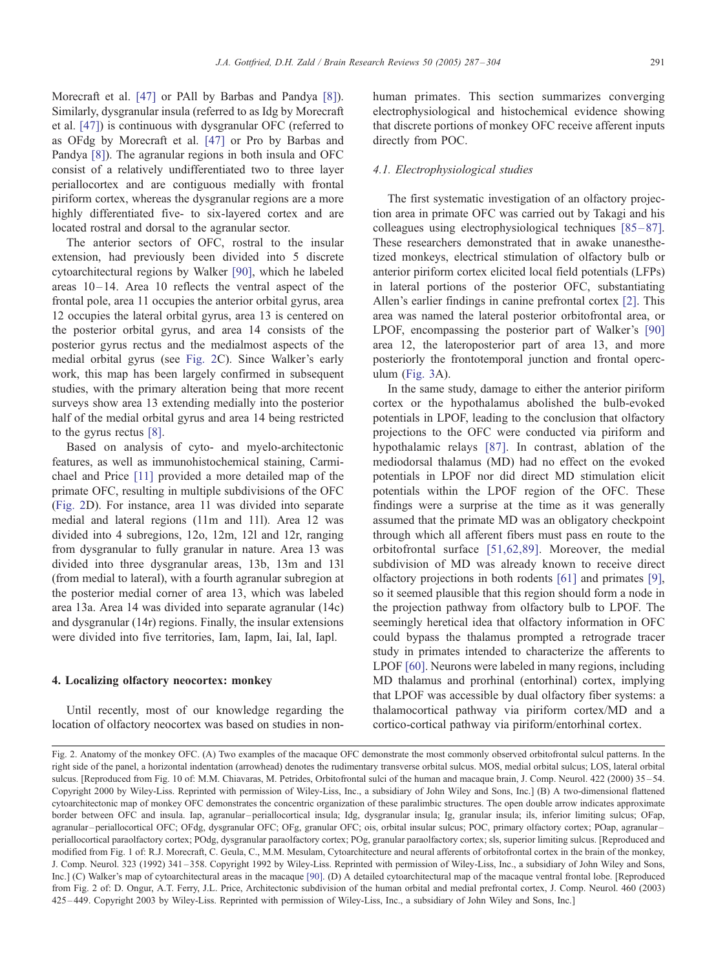Morecraft et al. [\[47\]](#page-16-0) or PAll by Barbas and Pandya [\[8\]\)](#page-15-0). Similarly, dysgranular insula (referred to as Idg by Morecraft et al. [\[47\]\)](#page-16-0) is continuous with dysgranular OFC (referred to as OFdg by Morecraft et al. [\[47\]](#page-16-0) or Pro by Barbas and Pandya [\[8\]\)](#page-15-0). The agranular regions in both insula and OFC consist of a relatively undifferentiated two to three layer periallocortex and are contiguous medially with frontal piriform cortex, whereas the dysgranular regions are a more highly differentiated five- to six-layered cortex and are located rostral and dorsal to the agranular sector.

The anterior sectors of OFC, rostral to the insular extension, had previously been divided into 5 discrete cytoarchitectural regions by Walker [\[90\],](#page-17-0) which he labeled areas  $10-14$ . Area 10 reflects the ventral aspect of the frontal pole, area 11 occupies the anterior orbital gyrus, area 12 occupies the lateral orbital gyrus, area 13 is centered on the posterior orbital gyrus, and area 14 consists of the posterior gyrus rectus and the medialmost aspects of the medial orbital gyrus (see [Fig. 2C](#page-3-0)). Since Walker's early work, this map has been largely confirmed in subsequent studies, with the primary alteration being that more recent surveys show area 13 extending medially into the posterior half of the medial orbital gyrus and area 14 being restricted to the gyrus rectus [\[8\].](#page-15-0)

Based on analysis of cyto- and myelo-architectonic features, as well as immunohistochemical staining, Carmichael and Price [\[11\]](#page-15-0) provided a more detailed map of the primate OFC, resulting in multiple subdivisions of the OFC ([Fig. 2D](#page-3-0)). For instance, area 11 was divided into separate medial and lateral regions (11m and 11l). Area 12 was divided into 4 subregions, 12o, 12m, 12l and 12r, ranging from dysgranular to fully granular in nature. Area 13 was divided into three dysgranular areas, 13b, 13m and 13l (from medial to lateral), with a fourth agranular subregion at the posterior medial corner of area 13, which was labeled area 13a. Area 14 was divided into separate agranular (14c) and dysgranular (14r) regions. Finally, the insular extensions were divided into five territories, Iam, Iapm, Iai, Ial, Iapl.

### 4. Localizing olfactory neocortex: monkey

Until recently, most of our knowledge regarding the location of olfactory neocortex was based on studies in nonhuman primates. This section summarizes converging electrophysiological and histochemical evidence showing that discrete portions of monkey OFC receive afferent inputs directly from POC.

## 4.1. Electrophysiological studies

The first systematic investigation of an olfactory projection area in primate OFC was carried out by Takagi and his colleagues using electrophysiological techniques [85–87]. These researchers demonstrated that in awake unanesthetized monkeys, electrical stimulation of olfactory bulb or anterior piriform cortex elicited local field potentials (LFPs) in lateral portions of the posterior OFC, substantiating Allen's earlier findings in canine prefrontal cortex [\[2\].](#page-15-0) This area was named the lateral posterior orbitofrontal area, or LPOF, encompassing the posterior part of Walker's [\[90\]](#page-17-0) area 12, the lateroposterior part of area 13, and more posteriorly the frontotemporal junction and frontal operculum ([Fig. 3A](#page-5-0)).

In the same study, damage to either the anterior piriform cortex or the hypothalamus abolished the bulb-evoked potentials in LPOF, leading to the conclusion that olfactory projections to the OFC were conducted via piriform and hypothalamic relays [\[87\].](#page-17-0) In contrast, ablation of the mediodorsal thalamus (MD) had no effect on the evoked potentials in LPOF nor did direct MD stimulation elicit potentials within the LPOF region of the OFC. These findings were a surprise at the time as it was generally assumed that the primate MD was an obligatory checkpoint through which all afferent fibers must pass en route to the orbitofrontal surface [\[51,62,89\].](#page-16-0) Moreover, the medial subdivision of MD was already known to receive direct olfactory projections in both rodents [\[61\]](#page-16-0) and primates [\[9\],](#page-15-0) so it seemed plausible that this region should form a node in the projection pathway from olfactory bulb to LPOF. The seemingly heretical idea that olfactory information in OFC could bypass the thalamus prompted a retrograde tracer study in primates intended to characterize the afferents to LPOF [\[60\].](#page-16-0) Neurons were labeled in many regions, including MD thalamus and prorhinal (entorhinal) cortex, implying that LPOF was accessible by dual olfactory fiber systems: a thalamocortical pathway via piriform cortex/MD and a cortico-cortical pathway via piriform/entorhinal cortex.

Fig. 2. Anatomy of the monkey OFC. (A) Two examples of the macaque OFC demonstrate the most commonly observed orbitofrontal sulcul patterns. In the right side of the panel, a horizontal indentation (arrowhead) denotes the rudimentary transverse orbital sulcus. MOS, medial orbital sulcus; LOS, lateral orbital sulcus. [Reproduced from Fig. 10 of: M.M. Chiavaras, M. Petrides, Orbitofrontal sulci of the human and macaque brain, J. Comp. Neurol. 422 (2000) 35 – 54. Copyright 2000 by Wiley-Liss. Reprinted with permission of Wiley-Liss, Inc., a subsidiary of John Wiley and Sons, Inc.] (B) A two-dimensional flattened cytoarchitectonic map of monkey OFC demonstrates the concentric organization of these paralimbic structures. The open double arrow indicates approximate border between OFC and insula. Iap, agranular – periallocortical insula; Idg, dysgranular insula; Ig, granular insula; ils, inferior limiting sulcus; OFap, agranular – periallocortical OFC; OFdg, dysgranular OFC; OFg, granular OFC; ois, orbital insular sulcus; POC, primary olfactory cortex; POap, agranular – periallocortical paraolfactory cortex; POdg, dysgranular paraolfactory cortex; POg, granular paraolfactory cortex; sls, superior limiting sulcus. [Reproduced and modified from Fig. 1 of: R.J. Morecraft, C. Geula, C., M.M. Mesulam, Cytoarchitecture and neural afferents of orbitofrontal cortex in the brain of the monkey, J. Comp. Neurol. 323 (1992) 341 – 358. Copyright 1992 by Wiley-Liss. Reprinted with permission of Wiley-Liss, Inc., a subsidiary of John Wiley and Sons, Inc.] (C) Walker's map of cytoarchitectural areas in the macaque [\[90\].](#page-17-0) (D) A detailed cytoarchitectural map of the macaque ventral frontal lobe. [Reproduced from Fig. 2 of: D. Ongur, A.T. Ferry, J.L. Price, Architectonic subdivision of the human orbital and medial prefrontal cortex, J. Comp. Neurol. 460 (2003) 425 – 449. Copyright 2003 by Wiley-Liss. Reprinted with permission of Wiley-Liss, Inc., a subsidiary of John Wiley and Sons, Inc.]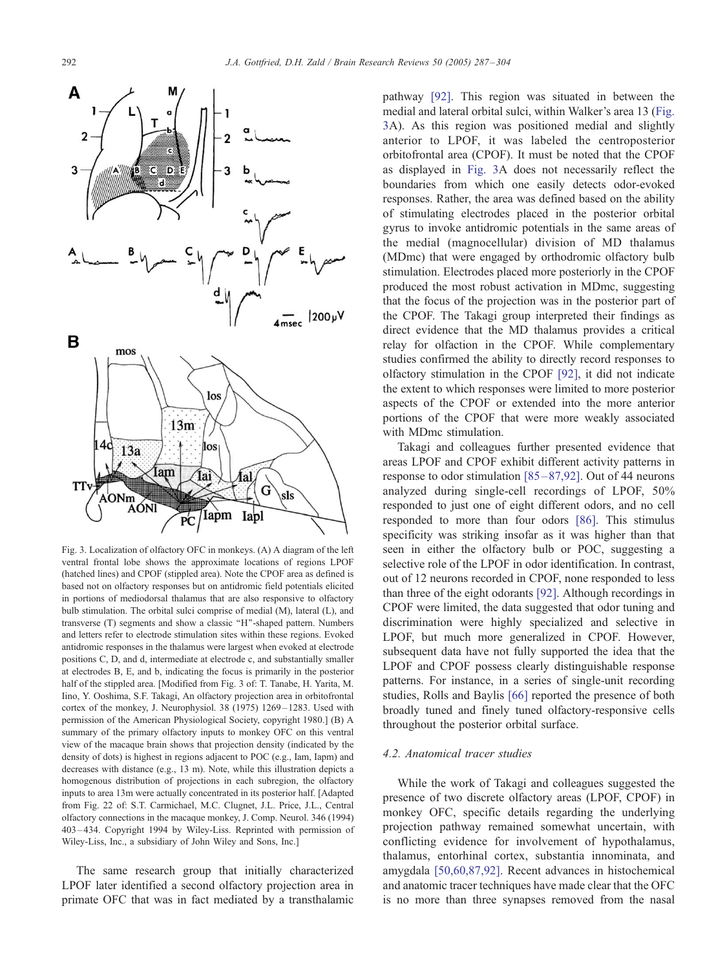<span id="page-5-0"></span>

Fig. 3. Localization of olfactory OFC in monkeys. (A) A diagram of the left ventral frontal lobe shows the approximate locations of regions LPOF (hatched lines) and CPOF (stippled area). Note the CPOF area as defined is based not on olfactory responses but on antidromic field potentials elicited in portions of mediodorsal thalamus that are also responsive to olfactory bulb stimulation. The orbital sulci comprise of medial (M), lateral (L), and transverse (T) segments and show a classic ''H''-shaped pattern. Numbers and letters refer to electrode stimulation sites within these regions. Evoked antidromic responses in the thalamus were largest when evoked at electrode positions C, D, and d, intermediate at electrode c, and substantially smaller at electrodes B, E, and b, indicating the focus is primarily in the posterior half of the stippled area. [Modified from Fig. 3 of: T. Tanabe, H. Yarita, M. Iino, Y. Ooshima, S.F. Takagi, An olfactory projection area in orbitofrontal cortex of the monkey, J. Neurophysiol. 38 (1975) 1269–1283. Used with permission of the American Physiological Society, copyright 1980.] (B) A summary of the primary olfactory inputs to monkey OFC on this ventral view of the macaque brain shows that projection density (indicated by the density of dots) is highest in regions adjacent to POC (e.g., Iam, Iapm) and decreases with distance (e.g., 13 m). Note, while this illustration depicts a homogenous distribution of projections in each subregion, the olfactory inputs to area 13m were actually concentrated in its posterior half. [Adapted from Fig. 22 of: S.T. Carmichael, M.C. Clugnet, J.L. Price, J.L., Central olfactory connections in the macaque monkey, J. Comp. Neurol. 346 (1994) 403 – 434. Copyright 1994 by Wiley-Liss. Reprinted with permission of Wiley-Liss, Inc., a subsidiary of John Wiley and Sons, Inc.]

The same research group that initially characterized LPOF later identified a second olfactory projection area in primate OFC that was in fact mediated by a transthalamic pathway [\[92\].](#page-17-0) This region was situated in between the medial and lateral orbital sulci, within Walker's area 13 (Fig. 3A). As this region was positioned medial and slightly anterior to LPOF, it was labeled the centroposterior orbitofrontal area (CPOF). It must be noted that the CPOF as displayed in Fig. 3A does not necessarily reflect the boundaries from which one easily detects odor-evoked responses. Rather, the area was defined based on the ability of stimulating electrodes placed in the posterior orbital gyrus to invoke antidromic potentials in the same areas of the medial (magnocellular) division of MD thalamus (MDmc) that were engaged by orthodromic olfactory bulb stimulation. Electrodes placed more posteriorly in the CPOF produced the most robust activation in MDmc, suggesting that the focus of the projection was in the posterior part of the CPOF. The Takagi group interpreted their findings as direct evidence that the MD thalamus provides a critical relay for olfaction in the CPOF. While complementary studies confirmed the ability to directly record responses to olfactory stimulation in the CPOF [\[92\],](#page-17-0) it did not indicate the extent to which responses were limited to more posterior aspects of the CPOF or extended into the more anterior portions of the CPOF that were more weakly associated with MDmc stimulation.

Takagi and colleagues further presented evidence that areas LPOF and CPOF exhibit different activity patterns in response to odor stimulation [\[85 – 87,92\].](#page-17-0) Out of 44 neurons analyzed during single-cell recordings of LPOF, 50% responded to just one of eight different odors, and no cell responded to more than four odors [\[86\].](#page-17-0) This stimulus specificity was striking insofar as it was higher than that seen in either the olfactory bulb or POC, suggesting a selective role of the LPOF in odor identification. In contrast, out of 12 neurons recorded in CPOF, none responded to less than three of the eight odorants [\[92\].](#page-17-0) Although recordings in CPOF were limited, the data suggested that odor tuning and discrimination were highly specialized and selective in LPOF, but much more generalized in CPOF. However, subsequent data have not fully supported the idea that the LPOF and CPOF possess clearly distinguishable response patterns. For instance, in a series of single-unit recording studies, Rolls and Baylis [\[66\]](#page-16-0) reported the presence of both broadly tuned and finely tuned olfactory-responsive cells throughout the posterior orbital surface.

#### 4.2. Anatomical tracer studies

While the work of Takagi and colleagues suggested the presence of two discrete olfactory areas (LPOF, CPOF) in monkey OFC, specific details regarding the underlying projection pathway remained somewhat uncertain, with conflicting evidence for involvement of hypothalamus, thalamus, entorhinal cortex, substantia innominata, and amygdala [\[50,60,87,92\].](#page-16-0) Recent advances in histochemical and anatomic tracer techniques have made clear that the OFC is no more than three synapses removed from the nasal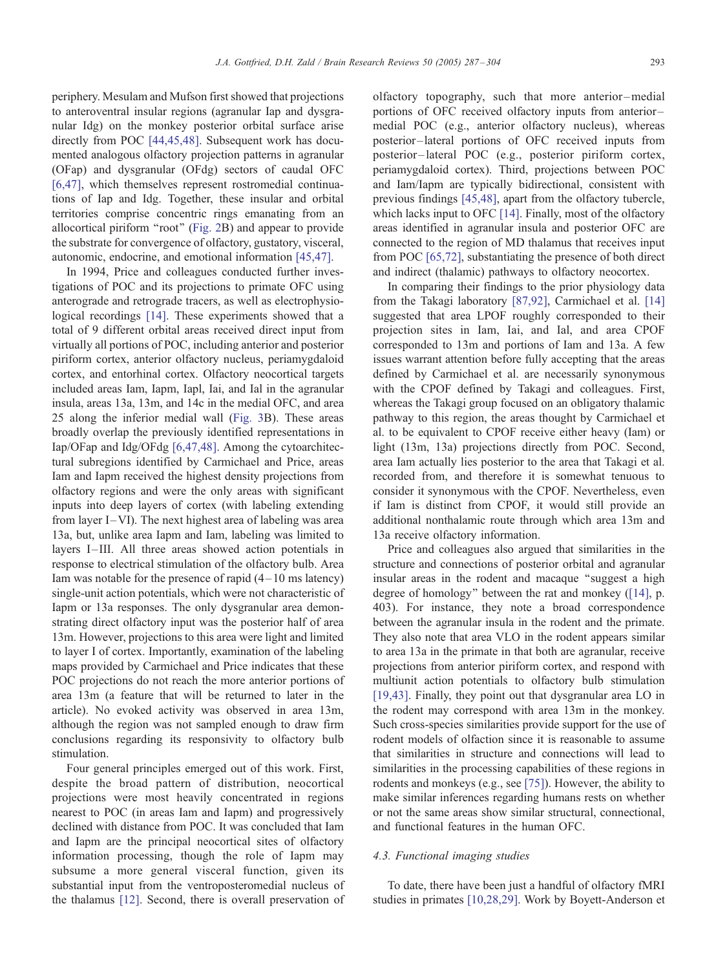periphery. Mesulam and Mufson first showed that projections to anteroventral insular regions (agranular Iap and dysgranular Idg) on the monkey posterior orbital surface arise directly from POC [\[44,45,48\].](#page-16-0) Subsequent work has documented analogous olfactory projection patterns in agranular (OFap) and dysgranular (OFdg) sectors of caudal OFC [\[6,47\],](#page-15-0) which themselves represent rostromedial continuations of Iap and Idg. Together, these insular and orbital territories comprise concentric rings emanating from an allocortical piriform ''root'' ([Fig. 2B](#page-3-0)) and appear to provide the substrate for convergence of olfactory, gustatory, visceral, autonomic, endocrine, and emotional information [\[45,47\].](#page-16-0)

In 1994, Price and colleagues conducted further investigations of POC and its projections to primate OFC using anterograde and retrograde tracers, as well as electrophysiological recordings [\[14\].](#page-15-0) These experiments showed that a total of 9 different orbital areas received direct input from virtually all portions of POC, including anterior and posterior piriform cortex, anterior olfactory nucleus, periamygdaloid cortex, and entorhinal cortex. Olfactory neocortical targets included areas Iam, Iapm, Iapl, Iai, and Ial in the agranular insula, areas 13a, 13m, and 14c in the medial OFC, and area 25 along the inferior medial wall ([Fig. 3B](#page-5-0)). These areas broadly overlap the previously identified representations in Iap/OFap and Idg/OFdg [\[6,47,48\].](#page-15-0) Among the cytoarchitectural subregions identified by Carmichael and Price, areas Iam and Iapm received the highest density projections from olfactory regions and were the only areas with significant inputs into deep layers of cortex (with labeling extending from layer I–VI). The next highest area of labeling was area 13a, but, unlike area Iapm and Iam, labeling was limited to layers I-III. All three areas showed action potentials in response to electrical stimulation of the olfactory bulb. Area Iam was notable for the presence of rapid  $(4-10 \text{ ms } latency)$ single-unit action potentials, which were not characteristic of Iapm or 13a responses. The only dysgranular area demonstrating direct olfactory input was the posterior half of area 13m. However, projections to this area were light and limited to layer I of cortex. Importantly, examination of the labeling maps provided by Carmichael and Price indicates that these POC projections do not reach the more anterior portions of area 13m (a feature that will be returned to later in the article). No evoked activity was observed in area 13m, although the region was not sampled enough to draw firm conclusions regarding its responsivity to olfactory bulb stimulation.

Four general principles emerged out of this work. First, despite the broad pattern of distribution, neocortical projections were most heavily concentrated in regions nearest to POC (in areas Iam and Iapm) and progressively declined with distance from POC. It was concluded that Iam and Iapm are the principal neocortical sites of olfactory information processing, though the role of Iapm may subsume a more general visceral function, given its substantial input from the ventroposteromedial nucleus of the thalamus [\[12\].](#page-15-0) Second, there is overall preservation of olfactory topography, such that more anterior –medial portions of OFC received olfactory inputs from anterior – medial POC (e.g., anterior olfactory nucleus), whereas posterior –lateral portions of OFC received inputs from posterior –lateral POC (e.g., posterior piriform cortex, periamygdaloid cortex). Third, projections between POC and Iam/Iapm are typically bidirectional, consistent with previous findings [\[45,48\],](#page-16-0) apart from the olfactory tubercle, which lacks input to OFC [\[14\].](#page-15-0) Finally, most of the olfactory areas identified in agranular insula and posterior OFC are connected to the region of MD thalamus that receives input from POC [\[65,72\],](#page-16-0) substantiating the presence of both direct and indirect (thalamic) pathways to olfactory neocortex.

In comparing their findings to the prior physiology data from the Takagi laboratory [\[87,92\],](#page-17-0) Carmichael et al. [\[14\]](#page-15-0) suggested that area LPOF roughly corresponded to their projection sites in Iam, Iai, and Ial, and area CPOF corresponded to 13m and portions of Iam and 13a. A few issues warrant attention before fully accepting that the areas defined by Carmichael et al. are necessarily synonymous with the CPOF defined by Takagi and colleagues. First, whereas the Takagi group focused on an obligatory thalamic pathway to this region, the areas thought by Carmichael et al. to be equivalent to CPOF receive either heavy (Iam) or light (13m, 13a) projections directly from POC. Second, area Iam actually lies posterior to the area that Takagi et al. recorded from, and therefore it is somewhat tenuous to consider it synonymous with the CPOF. Nevertheless, even if Iam is distinct from CPOF, it would still provide an additional nonthalamic route through which area 13m and 13a receive olfactory information.

Price and colleagues also argued that similarities in the structure and connections of posterior orbital and agranular insular areas in the rodent and macaque ''suggest a high degree of homology'' between the rat and monkey ([\[14\],](#page-15-0) p. 403). For instance, they note a broad correspondence between the agranular insula in the rodent and the primate. They also note that area VLO in the rodent appears similar to area 13a in the primate in that both are agranular, receive projections from anterior piriform cortex, and respond with multiunit action potentials to olfactory bulb stimulation [\[19,43\].](#page-15-0) Finally, they point out that dysgranular area LO in the rodent may correspond with area 13m in the monkey. Such cross-species similarities provide support for the use of rodent models of olfaction since it is reasonable to assume that similarities in structure and connections will lead to similarities in the processing capabilities of these regions in rodents and monkeys (e.g., see [\[75\]\)](#page-17-0). However, the ability to make similar inferences regarding humans rests on whether or not the same areas show similar structural, connectional, and functional features in the human OFC.

### 4.3. Functional imaging studies

To date, there have been just a handful of olfactory fMRI studies in primates [\[10,28,29\].](#page-15-0) Work by Boyett-Anderson et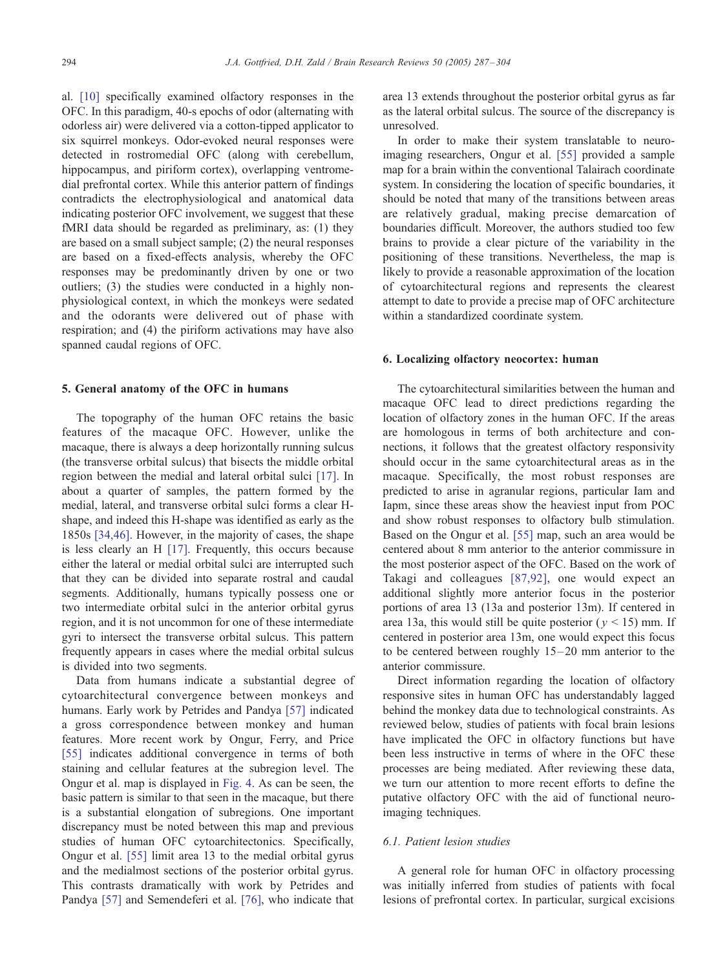al. [\[10\]](#page-15-0) specifically examined olfactory responses in the OFC. In this paradigm, 40-s epochs of odor (alternating with odorless air) were delivered via a cotton-tipped applicator to six squirrel monkeys. Odor-evoked neural responses were detected in rostromedial OFC (along with cerebellum, hippocampus, and piriform cortex), overlapping ventromedial prefrontal cortex. While this anterior pattern of findings contradicts the electrophysiological and anatomical data indicating posterior OFC involvement, we suggest that these fMRI data should be regarded as preliminary, as: (1) they are based on a small subject sample; (2) the neural responses are based on a fixed-effects analysis, whereby the OFC responses may be predominantly driven by one or two outliers; (3) the studies were conducted in a highly nonphysiological context, in which the monkeys were sedated and the odorants were delivered out of phase with respiration; and (4) the piriform activations may have also spanned caudal regions of OFC.

### 5. General anatomy of the OFC in humans

The topography of the human OFC retains the basic features of the macaque OFC. However, unlike the macaque, there is always a deep horizontally running sulcus (the transverse orbital sulcus) that bisects the middle orbital region between the medial and lateral orbital sulci [\[17\].](#page-15-0) In about a quarter of samples, the pattern formed by the medial, lateral, and transverse orbital sulci forms a clear Hshape, and indeed this H-shape was identified as early as the 1850s [\[34,46\].](#page-16-0) However, in the majority of cases, the shape is less clearly an H [\[17\].](#page-15-0) Frequently, this occurs because either the lateral or medial orbital sulci are interrupted such that they can be divided into separate rostral and caudal segments. Additionally, humans typically possess one or two intermediate orbital sulci in the anterior orbital gyrus region, and it is not uncommon for one of these intermediate gyri to intersect the transverse orbital sulcus. This pattern frequently appears in cases where the medial orbital sulcus is divided into two segments.

Data from humans indicate a substantial degree of cytoarchitectural convergence between monkeys and humans. Early work by Petrides and Pandya [\[57\]](#page-16-0) indicated a gross correspondence between monkey and human features. More recent work by Ongur, Ferry, and Price [\[55\]](#page-16-0) indicates additional convergence in terms of both staining and cellular features at the subregion level. The Ongur et al. map is displayed in [Fig. 4.](#page-8-0) As can be seen, the basic pattern is similar to that seen in the macaque, but there is a substantial elongation of subregions. One important discrepancy must be noted between this map and previous studies of human OFC cytoarchitectonics. Specifically, Ongur et al. [\[55\]](#page-16-0) limit area 13 to the medial orbital gyrus and the medialmost sections of the posterior orbital gyrus. This contrasts dramatically with work by Petrides and Pandya [\[57\]](#page-16-0) and Semendeferi et al. [\[76\],](#page-17-0) who indicate that area 13 extends throughout the posterior orbital gyrus as far as the lateral orbital sulcus. The source of the discrepancy is unresolved.

In order to make their system translatable to neuroimaging researchers, Ongur et al. [\[55\]](#page-16-0) provided a sample map for a brain within the conventional Talairach coordinate system. In considering the location of specific boundaries, it should be noted that many of the transitions between areas are relatively gradual, making precise demarcation of boundaries difficult. Moreover, the authors studied too few brains to provide a clear picture of the variability in the positioning of these transitions. Nevertheless, the map is likely to provide a reasonable approximation of the location of cytoarchitectural regions and represents the clearest attempt to date to provide a precise map of OFC architecture within a standardized coordinate system.

### 6. Localizing olfactory neocortex: human

The cytoarchitectural similarities between the human and macaque OFC lead to direct predictions regarding the location of olfactory zones in the human OFC. If the areas are homologous in terms of both architecture and connections, it follows that the greatest olfactory responsivity should occur in the same cytoarchitectural areas as in the macaque. Specifically, the most robust responses are predicted to arise in agranular regions, particular Iam and Iapm, since these areas show the heaviest input from POC and show robust responses to olfactory bulb stimulation. Based on the Ongur et al. [\[55\]](#page-16-0) map, such an area would be centered about 8 mm anterior to the anterior commissure in the most posterior aspect of the OFC. Based on the work of Takagi and colleagues [\[87,92\],](#page-17-0) one would expect an additional slightly more anterior focus in the posterior portions of area 13 (13a and posterior 13m). If centered in area 13a, this would still be quite posterior ( $v < 15$ ) mm. If centered in posterior area 13m, one would expect this focus to be centered between roughly 15 – 20 mm anterior to the anterior commissure.

Direct information regarding the location of olfactory responsive sites in human OFC has understandably lagged behind the monkey data due to technological constraints. As reviewed below, studies of patients with focal brain lesions have implicated the OFC in olfactory functions but have been less instructive in terms of where in the OFC these processes are being mediated. After reviewing these data, we turn our attention to more recent efforts to define the putative olfactory OFC with the aid of functional neuroimaging techniques.

### 6.1. Patient lesion studies

A general role for human OFC in olfactory processing was initially inferred from studies of patients with focal lesions of prefrontal cortex. In particular, surgical excisions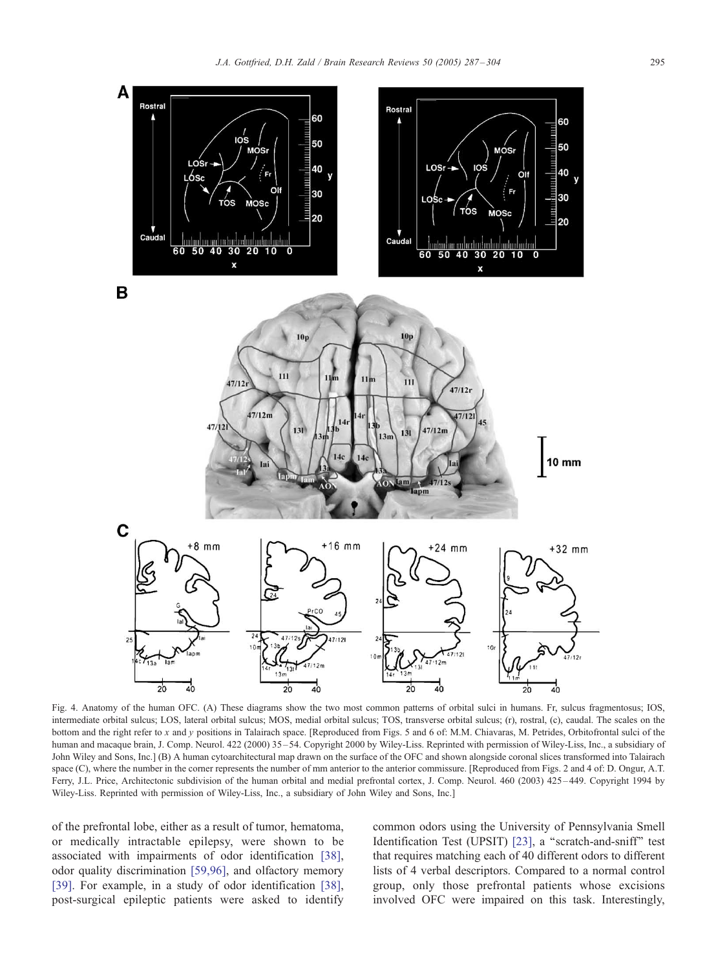<span id="page-8-0"></span>

Fig. 4. Anatomy of the human OFC. (A) These diagrams show the two most common patterns of orbital sulci in humans. Fr, sulcus fragmentosus; IOS, intermediate orbital sulcus; LOS, lateral orbital sulcus; MOS, medial orbital sulcus; TOS, transverse orbital sulcus; (r), rostral, (c), caudal. The scales on the bottom and the right refer to x and y positions in Talairach space. [Reproduced from Figs. 5 and 6 of: M.M. Chiavaras, M. Petrides, Orbitofrontal sulci of the human and macaque brain, J. Comp. Neurol. 422 (2000) 35–54. Copyright 2000 by Wiley-Liss. Reprinted with permission of Wiley-Liss, Inc., a subsidiary of John Wiley and Sons, Inc.] (B) A human cytoarchitectural map drawn on the surface of the OFC and shown alongside coronal slices transformed into Talairach space (C), where the number in the corner represents the number of mm anterior to the anterior commissure. [Reproduced from Figs. 2 and 4 of: D. Ongur, A.T. Ferry, J.L. Price, Architectonic subdivision of the human orbital and medial prefrontal cortex, J. Comp. Neurol. 460 (2003) 425 – 449. Copyright 1994 by Wiley-Liss. Reprinted with permission of Wiley-Liss, Inc., a subsidiary of John Wiley and Sons, Inc.]

of the prefrontal lobe, either as a result of tumor, hematoma, or medically intractable epilepsy, were shown to be associated with impairments of odor identification [\[38\],](#page-16-0) odor quality discrimination [\[59,96\],](#page-16-0) and olfactory memory [\[39\].](#page-16-0) For example, in a study of odor identification [\[38\],](#page-16-0) post-surgical epileptic patients were asked to identify common odors using the University of Pennsylvania Smell Identification Test (UPSIT) [\[23\],](#page-15-0) a ''scratch-and-sniff'' test that requires matching each of 40 different odors to different lists of 4 verbal descriptors. Compared to a normal control group, only those prefrontal patients whose excisions involved OFC were impaired on this task. Interestingly,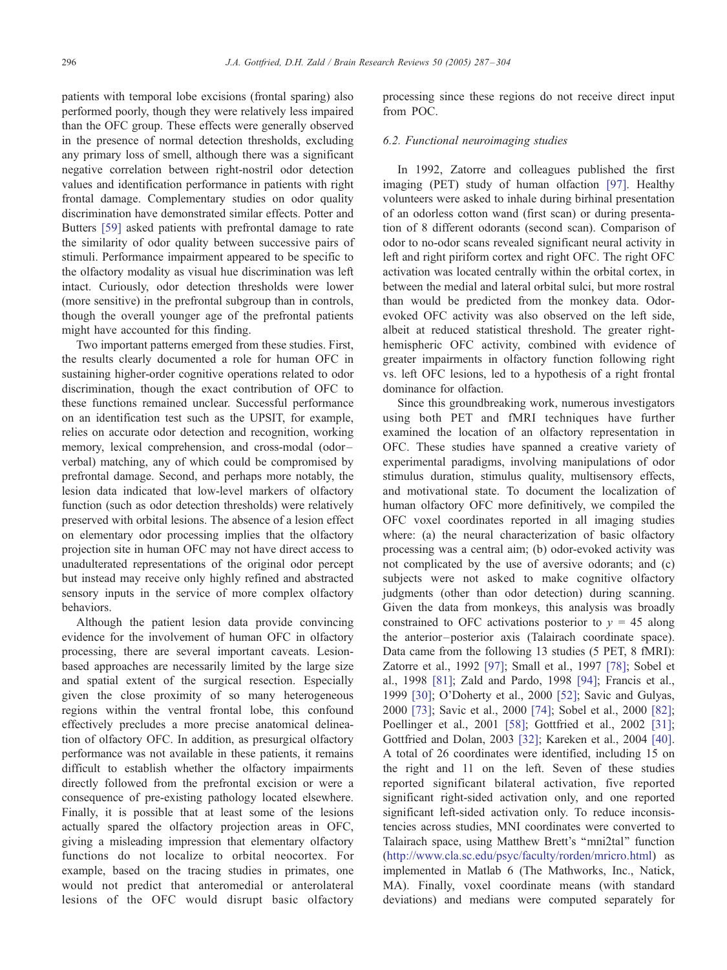patients with temporal lobe excisions (frontal sparing) also performed poorly, though they were relatively less impaired than the OFC group. These effects were generally observed in the presence of normal detection thresholds, excluding any primary loss of smell, although there was a significant negative correlation between right-nostril odor detection values and identification performance in patients with right frontal damage. Complementary studies on odor quality discrimination have demonstrated similar effects. Potter and Butters [\[59\]](#page-16-0) asked patients with prefrontal damage to rate the similarity of odor quality between successive pairs of stimuli. Performance impairment appeared to be specific to the olfactory modality as visual hue discrimination was left intact. Curiously, odor detection thresholds were lower (more sensitive) in the prefrontal subgroup than in controls, though the overall younger age of the prefrontal patients might have accounted for this finding.

Two important patterns emerged from these studies. First, the results clearly documented a role for human OFC in sustaining higher-order cognitive operations related to odor discrimination, though the exact contribution of OFC to these functions remained unclear. Successful performance on an identification test such as the UPSIT, for example, relies on accurate odor detection and recognition, working memory, lexical comprehension, and cross-modal (odor – verbal) matching, any of which could be compromised by prefrontal damage. Second, and perhaps more notably, the lesion data indicated that low-level markers of olfactory function (such as odor detection thresholds) were relatively preserved with orbital lesions. The absence of a lesion effect on elementary odor processing implies that the olfactory projection site in human OFC may not have direct access to unadulterated representations of the original odor percept but instead may receive only highly refined and abstracted sensory inputs in the service of more complex olfactory behaviors.

Although the patient lesion data provide convincing evidence for the involvement of human OFC in olfactory processing, there are several important caveats. Lesionbased approaches are necessarily limited by the large size and spatial extent of the surgical resection. Especially given the close proximity of so many heterogeneous regions within the ventral frontal lobe, this confound effectively precludes a more precise anatomical delineation of olfactory OFC. In addition, as presurgical olfactory performance was not available in these patients, it remains difficult to establish whether the olfactory impairments directly followed from the prefrontal excision or were a consequence of pre-existing pathology located elsewhere. Finally, it is possible that at least some of the lesions actually spared the olfactory projection areas in OFC, giving a misleading impression that elementary olfactory functions do not localize to orbital neocortex. For example, based on the tracing studies in primates, one would not predict that anteromedial or anterolateral lesions of the OFC would disrupt basic olfactory

processing since these regions do not receive direct input from POC.

### 6.2. Functional neuroimaging studies

In 1992, Zatorre and colleagues published the first imaging (PET) study of human olfaction [\[97\].](#page-17-0) Healthy volunteers were asked to inhale during birhinal presentation of an odorless cotton wand (first scan) or during presentation of 8 different odorants (second scan). Comparison of odor to no-odor scans revealed significant neural activity in left and right piriform cortex and right OFC. The right OFC activation was located centrally within the orbital cortex, in between the medial and lateral orbital sulci, but more rostral than would be predicted from the monkey data. Odorevoked OFC activity was also observed on the left side, albeit at reduced statistical threshold. The greater righthemispheric OFC activity, combined with evidence of greater impairments in olfactory function following right vs. left OFC lesions, led to a hypothesis of a right frontal dominance for olfaction.

Since this groundbreaking work, numerous investigators using both PET and fMRI techniques have further examined the location of an olfactory representation in OFC. These studies have spanned a creative variety of experimental paradigms, involving manipulations of odor stimulus duration, stimulus quality, multisensory effects, and motivational state. To document the localization of human olfactory OFC more definitively, we compiled the OFC voxel coordinates reported in all imaging studies where: (a) the neural characterization of basic olfactory processing was a central aim; (b) odor-evoked activity was not complicated by the use of aversive odorants; and (c) subjects were not asked to make cognitive olfactory judgments (other than odor detection) during scanning. Given the data from monkeys, this analysis was broadly constrained to OFC activations posterior to  $v = 45$  along the anterior – posterior axis (Talairach coordinate space). Data came from the following 13 studies (5 PET, 8 fMRI): Zatorre et al., 1992 [\[97\];](#page-17-0) Small et al., 1997 [\[78\];](#page-17-0) Sobel et al., 1998 [\[81\];](#page-17-0) Zald and Pardo, 1998 [\[94\];](#page-17-0) Francis et al., 1999 [\[30\];](#page-16-0) O'Doherty et al., 2000 [\[52\];](#page-16-0) Savic and Gulyas, 2000 [\[73\];](#page-17-0) Savic et al., 2000 [\[74\];](#page-17-0) Sobel et al., 2000 [\[82\];](#page-17-0) Poellinger et al., 2001 [\[58\];](#page-16-0) Gottfried et al., 2002 [\[31\];](#page-16-0) Gottfried and Dolan, 2003 [\[32\];](#page-16-0) Kareken et al., 2004 [\[40\].](#page-16-0) A total of 26 coordinates were identified, including 15 on the right and 11 on the left. Seven of these studies reported significant bilateral activation, five reported significant right-sided activation only, and one reported significant left-sided activation only. To reduce inconsistencies across studies, MNI coordinates were converted to Talairach space, using Matthew Brett's ''mni2tal'' function ([http://www.cla.sc.edu/psyc/faculty/rorden/mricro.html\)]( http:\\www.cla.sc.edu\psyc\faculty\rorden\mricro.html ) as implemented in Matlab 6 (The Mathworks, Inc., Natick, MA). Finally, voxel coordinate means (with standard deviations) and medians were computed separately for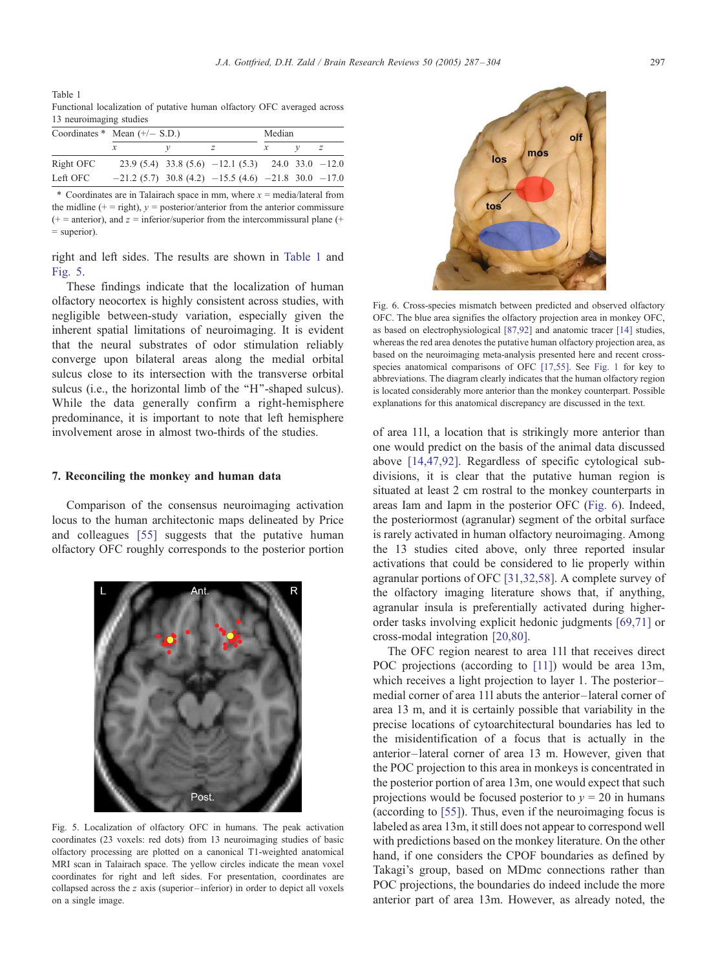Table 1 Functional localization of putative human olfactory OFC averaged across 13 neuroimaging studies

|           | Coordinates * Mean $(+/-$ S.D.) |  |                                                             | Median |  |  |
|-----------|---------------------------------|--|-------------------------------------------------------------|--------|--|--|
|           |                                 |  |                                                             |        |  |  |
| Right OFC |                                 |  | $23.9(5.4)$ 33.8 (5.6) $-12.1(5.3)$ 24.0 33.0 $-12.0$       |        |  |  |
| Left OFC  |                                 |  | $-21.2$ (5.7) 30.8 (4.2) $-15.5$ (4.6) $-21.8$ 30.0 $-17.0$ |        |  |  |

\* Coordinates are in Talairach space in mm, where  $x = \text{median/}$ lateral from the midline ( $+$  = right),  $y$  = posterior/anterior from the anterior commissure  $(+)$  = anterior), and  $z$  = inferior/superior from the intercommissural plane  $(+)$ = superior).

right and left sides. The results are shown in Table 1 and Fig. 5.

These findings indicate that the localization of human olfactory neocortex is highly consistent across studies, with negligible between-study variation, especially given the inherent spatial limitations of neuroimaging. It is evident that the neural substrates of odor stimulation reliably converge upon bilateral areas along the medial orbital sulcus close to its intersection with the transverse orbital sulcus (i.e., the horizontal limb of the "H"-shaped sulcus). While the data generally confirm a right-hemisphere predominance, it is important to note that left hemisphere involvement arose in almost two-thirds of the studies.

### 7. Reconciling the monkey and human data

Comparison of the consensus neuroimaging activation locus to the human architectonic maps delineated by Price and colleagues [\[55\]](#page-16-0) suggests that the putative human olfactory OFC roughly corresponds to the posterior portion



Fig. 5. Localization of olfactory OFC in humans. The peak activation coordinates (23 voxels: red dots) from 13 neuroimaging studies of basic olfactory processing are plotted on a canonical T1-weighted anatomical MRI scan in Talairach space. The yellow circles indicate the mean voxel coordinates for right and left sides. For presentation, coordinates are collapsed across the z axis (superior –inferior) in order to depict all voxels on a single image.



Fig. 6. Cross-species mismatch between predicted and observed olfactory OFC. The blue area signifies the olfactory projection area in monkey OFC, as based on electrophysiological [\[87,92\]](#page-17-0) and anatomic tracer [\[14\]](#page-15-0) studies, whereas the red area denotes the putative human olfactory projection area, as based on the neuroimaging meta-analysis presented here and recent crossspecies anatomical comparisons of OFC [\[17,55\].](#page-15-0) See [Fig. 1](#page-2-0) for key to abbreviations. The diagram clearly indicates that the human olfactory region is located considerably more anterior than the monkey counterpart. Possible explanations for this anatomical discrepancy are discussed in the text.

of area 11l, a location that is strikingly more anterior than one would predict on the basis of the animal data discussed above [\[14,47,92\].](#page-15-0) Regardless of specific cytological subdivisions, it is clear that the putative human region is situated at least 2 cm rostral to the monkey counterparts in areas Iam and Iapm in the posterior OFC (Fig. 6). Indeed, the posteriormost (agranular) segment of the orbital surface is rarely activated in human olfactory neuroimaging. Among the 13 studies cited above, only three reported insular activations that could be considered to lie properly within agranular portions of OFC [\[31,32,58\].](#page-16-0) A complete survey of the olfactory imaging literature shows that, if anything, agranular insula is preferentially activated during higherorder tasks involving explicit hedonic judgments [\[69,71\]](#page-17-0) or cross-modal integration [\[20,80\].](#page-15-0)

The OFC region nearest to area 11l that receives direct POC projections (according to [\[11\]\)](#page-15-0) would be area 13m, which receives a light projection to layer 1. The posteriormedial corner of area 11l abuts the anterior –lateral corner of area 13 m, and it is certainly possible that variability in the precise locations of cytoarchitectural boundaries has led to the misidentification of a focus that is actually in the anterior –lateral corner of area 13 m. However, given that the POC projection to this area in monkeys is concentrated in the posterior portion of area 13m, one would expect that such projections would be focused posterior to  $y = 20$  in humans (according to [\[55\]\)](#page-16-0). Thus, even if the neuroimaging focus is labeled as area 13m, it still does not appear to correspond well with predictions based on the monkey literature. On the other hand, if one considers the CPOF boundaries as defined by Takagi's group, based on MDmc connections rather than POC projections, the boundaries do indeed include the more anterior part of area 13m. However, as already noted, the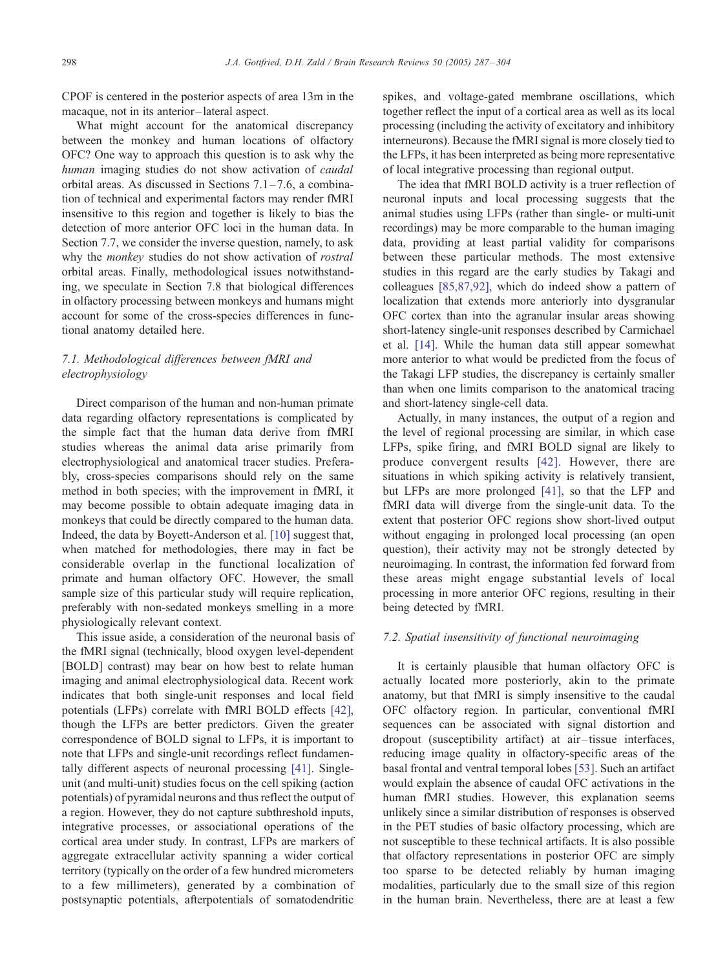CPOF is centered in the posterior aspects of area 13m in the macaque, not in its anterior –lateral aspect.

What might account for the anatomical discrepancy between the monkey and human locations of olfactory OFC? One way to approach this question is to ask why the human imaging studies do not show activation of *caudal* orbital areas. As discussed in Sections  $7.1 - 7.6$ , a combination of technical and experimental factors may render fMRI insensitive to this region and together is likely to bias the detection of more anterior OFC loci in the human data. In Section 7.7, we consider the inverse question, namely, to ask why the *monkey* studies do not show activation of *rostral* orbital areas. Finally, methodological issues notwithstanding, we speculate in Section 7.8 that biological differences in olfactory processing between monkeys and humans might account for some of the cross-species differences in functional anatomy detailed here.

# 7.1. Methodological differences between fMRI and electrophysiology

Direct comparison of the human and non-human primate data regarding olfactory representations is complicated by the simple fact that the human data derive from fMRI studies whereas the animal data arise primarily from electrophysiological and anatomical tracer studies. Preferably, cross-species comparisons should rely on the same method in both species; with the improvement in fMRI, it may become possible to obtain adequate imaging data in monkeys that could be directly compared to the human data. Indeed, the data by Boyett-Anderson et al. [\[10\]](#page-15-0) suggest that, when matched for methodologies, there may in fact be considerable overlap in the functional localization of primate and human olfactory OFC. However, the small sample size of this particular study will require replication, preferably with non-sedated monkeys smelling in a more physiologically relevant context.

This issue aside, a consideration of the neuronal basis of the fMRI signal (technically, blood oxygen level-dependent [BOLD] contrast) may bear on how best to relate human imaging and animal electrophysiological data. Recent work indicates that both single-unit responses and local field potentials (LFPs) correlate with fMRI BOLD effects [\[42\],](#page-16-0) though the LFPs are better predictors. Given the greater correspondence of BOLD signal to LFPs, it is important to note that LFPs and single-unit recordings reflect fundamentally different aspects of neuronal processing [\[41\].](#page-16-0) Singleunit (and multi-unit) studies focus on the cell spiking (action potentials) of pyramidal neurons and thus reflect the output of a region. However, they do not capture subthreshold inputs, integrative processes, or associational operations of the cortical area under study. In contrast, LFPs are markers of aggregate extracellular activity spanning a wider cortical territory (typically on the order of a few hundred micrometers to a few millimeters), generated by a combination of postsynaptic potentials, afterpotentials of somatodendritic spikes, and voltage-gated membrane oscillations, which together reflect the input of a cortical area as well as its local processing (including the activity of excitatory and inhibitory interneurons). Because the fMRI signal is more closely tied to the LFPs, it has been interpreted as being more representative of local integrative processing than regional output.

The idea that fMRI BOLD activity is a truer reflection of neuronal inputs and local processing suggests that the animal studies using LFPs (rather than single- or multi-unit recordings) may be more comparable to the human imaging data, providing at least partial validity for comparisons between these particular methods. The most extensive studies in this regard are the early studies by Takagi and colleagues [\[85,87,92\],](#page-17-0) which do indeed show a pattern of localization that extends more anteriorly into dysgranular OFC cortex than into the agranular insular areas showing short-latency single-unit responses described by Carmichael et al. [\[14\].](#page-15-0) While the human data still appear somewhat more anterior to what would be predicted from the focus of the Takagi LFP studies, the discrepancy is certainly smaller than when one limits comparison to the anatomical tracing and short-latency single-cell data.

Actually, in many instances, the output of a region and the level of regional processing are similar, in which case LFPs, spike firing, and fMRI BOLD signal are likely to produce convergent results [\[42\].](#page-16-0) However, there are situations in which spiking activity is relatively transient, but LFPs are more prolonged [\[41\],](#page-16-0) so that the LFP and fMRI data will diverge from the single-unit data. To the extent that posterior OFC regions show short-lived output without engaging in prolonged local processing (an open question), their activity may not be strongly detected by neuroimaging. In contrast, the information fed forward from these areas might engage substantial levels of local processing in more anterior OFC regions, resulting in their being detected by fMRI.

# 7.2. Spatial insensitivity of functional neuroimaging

It is certainly plausible that human olfactory OFC is actually located more posteriorly, akin to the primate anatomy, but that fMRI is simply insensitive to the caudal OFC olfactory region. In particular, conventional fMRI sequences can be associated with signal distortion and dropout (susceptibility artifact) at air-tissue interfaces, reducing image quality in olfactory-specific areas of the basal frontal and ventral temporal lobes [\[53\].](#page-16-0) Such an artifact would explain the absence of caudal OFC activations in the human fMRI studies. However, this explanation seems unlikely since a similar distribution of responses is observed in the PET studies of basic olfactory processing, which are not susceptible to these technical artifacts. It is also possible that olfactory representations in posterior OFC are simply too sparse to be detected reliably by human imaging modalities, particularly due to the small size of this region in the human brain. Nevertheless, there are at least a few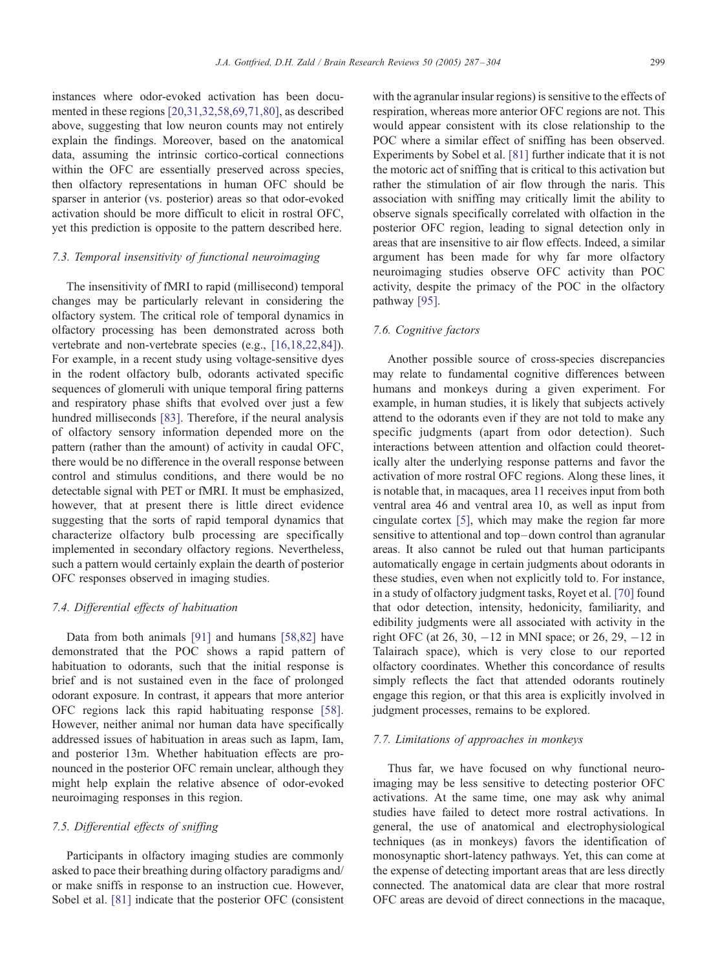instances where odor-evoked activation has been documented in these regions [\[20,31,32,58,69,71,80\],](#page-15-0) as described above, suggesting that low neuron counts may not entirely explain the findings. Moreover, based on the anatomical data, assuming the intrinsic cortico-cortical connections within the OFC are essentially preserved across species, then olfactory representations in human OFC should be sparser in anterior (vs. posterior) areas so that odor-evoked activation should be more difficult to elicit in rostral OFC, yet this prediction is opposite to the pattern described here.

# 7.3. Temporal insensitivity of functional neuroimaging

The insensitivity of fMRI to rapid (millisecond) temporal changes may be particularly relevant in considering the olfactory system. The critical role of temporal dynamics in olfactory processing has been demonstrated across both vertebrate and non-vertebrate species (e.g., [\[16,18,22,84\]\)](#page-15-0). For example, in a recent study using voltage-sensitive dyes in the rodent olfactory bulb, odorants activated specific sequences of glomeruli with unique temporal firing patterns and respiratory phase shifts that evolved over just a few hundred milliseconds [\[83\].](#page-17-0) Therefore, if the neural analysis of olfactory sensory information depended more on the pattern (rather than the amount) of activity in caudal OFC, there would be no difference in the overall response between control and stimulus conditions, and there would be no detectable signal with PET or fMRI. It must be emphasized, however, that at present there is little direct evidence suggesting that the sorts of rapid temporal dynamics that characterize olfactory bulb processing are specifically implemented in secondary olfactory regions. Nevertheless, such a pattern would certainly explain the dearth of posterior OFC responses observed in imaging studies.

### 7.4. Differential effects of habituation

Data from both animals [\[91\]](#page-17-0) and humans [\[58,82\]](#page-16-0) have demonstrated that the POC shows a rapid pattern of habituation to odorants, such that the initial response is brief and is not sustained even in the face of prolonged odorant exposure. In contrast, it appears that more anterior OFC regions lack this rapid habituating response [\[58\].](#page-16-0) However, neither animal nor human data have specifically addressed issues of habituation in areas such as Iapm, Iam, and posterior 13m. Whether habituation effects are pronounced in the posterior OFC remain unclear, although they might help explain the relative absence of odor-evoked neuroimaging responses in this region.

# 7.5. Differential effects of sniffing

Participants in olfactory imaging studies are commonly asked to pace their breathing during olfactory paradigms and/ or make sniffs in response to an instruction cue. However, Sobel et al. [\[81\]](#page-17-0) indicate that the posterior OFC (consistent

with the agranular insular regions) is sensitive to the effects of respiration, whereas more anterior OFC regions are not. This would appear consistent with its close relationship to the POC where a similar effect of sniffing has been observed. Experiments by Sobel et al. [\[81\]](#page-17-0) further indicate that it is not the motoric act of sniffing that is critical to this activation but rather the stimulation of air flow through the naris. This association with sniffing may critically limit the ability to observe signals specifically correlated with olfaction in the posterior OFC region, leading to signal detection only in areas that are insensitive to air flow effects. Indeed, a similar argument has been made for why far more olfactory neuroimaging studies observe OFC activity than POC activity, despite the primacy of the POC in the olfactory pathway [\[95\].](#page-17-0)

# 7.6. Cognitive factors

Another possible source of cross-species discrepancies may relate to fundamental cognitive differences between humans and monkeys during a given experiment. For example, in human studies, it is likely that subjects actively attend to the odorants even if they are not told to make any specific judgments (apart from odor detection). Such interactions between attention and olfaction could theoretically alter the underlying response patterns and favor the activation of more rostral OFC regions. Along these lines, it is notable that, in macaques, area 11 receives input from both ventral area 46 and ventral area 10, as well as input from cingulate cortex [\[5\],](#page-15-0) which may make the region far more sensitive to attentional and top – down control than agranular areas. It also cannot be ruled out that human participants automatically engage in certain judgments about odorants in these studies, even when not explicitly told to. For instance, in a study of olfactory judgment tasks, Royet et al. [\[70\]](#page-17-0) found that odor detection, intensity, hedonicity, familiarity, and edibility judgments were all associated with activity in the right OFC (at 26, 30,  $-12$  in MNI space; or 26, 29,  $-12$  in Talairach space), which is very close to our reported olfactory coordinates. Whether this concordance of results simply reflects the fact that attended odorants routinely engage this region, or that this area is explicitly involved in judgment processes, remains to be explored.

#### 7.7. Limitations of approaches in monkeys

Thus far, we have focused on why functional neuroimaging may be less sensitive to detecting posterior OFC activations. At the same time, one may ask why animal studies have failed to detect more rostral activations. In general, the use of anatomical and electrophysiological techniques (as in monkeys) favors the identification of monosynaptic short-latency pathways. Yet, this can come at the expense of detecting important areas that are less directly connected. The anatomical data are clear that more rostral OFC areas are devoid of direct connections in the macaque,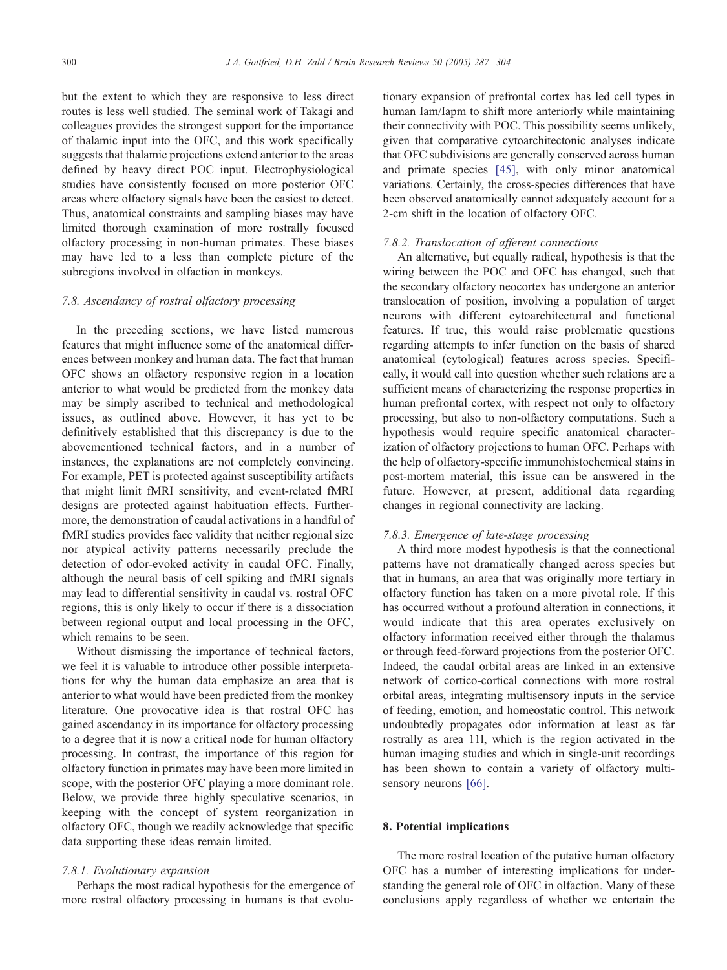but the extent to which they are responsive to less direct routes is less well studied. The seminal work of Takagi and colleagues provides the strongest support for the importance of thalamic input into the OFC, and this work specifically suggests that thalamic projections extend anterior to the areas defined by heavy direct POC input. Electrophysiological studies have consistently focused on more posterior OFC areas where olfactory signals have been the easiest to detect. Thus, anatomical constraints and sampling biases may have limited thorough examination of more rostrally focused olfactory processing in non-human primates. These biases may have led to a less than complete picture of the subregions involved in olfaction in monkeys.

## 7.8. Ascendancy of rostral olfactory processing

In the preceding sections, we have listed numerous features that might influence some of the anatomical differences between monkey and human data. The fact that human OFC shows an olfactory responsive region in a location anterior to what would be predicted from the monkey data may be simply ascribed to technical and methodological issues, as outlined above. However, it has yet to be definitively established that this discrepancy is due to the abovementioned technical factors, and in a number of instances, the explanations are not completely convincing. For example, PET is protected against susceptibility artifacts that might limit fMRI sensitivity, and event-related fMRI designs are protected against habituation effects. Furthermore, the demonstration of caudal activations in a handful of fMRI studies provides face validity that neither regional size nor atypical activity patterns necessarily preclude the detection of odor-evoked activity in caudal OFC. Finally, although the neural basis of cell spiking and fMRI signals may lead to differential sensitivity in caudal vs. rostral OFC regions, this is only likely to occur if there is a dissociation between regional output and local processing in the OFC, which remains to be seen.

Without dismissing the importance of technical factors, we feel it is valuable to introduce other possible interpretations for why the human data emphasize an area that is anterior to what would have been predicted from the monkey literature. One provocative idea is that rostral OFC has gained ascendancy in its importance for olfactory processing to a degree that it is now a critical node for human olfactory processing. In contrast, the importance of this region for olfactory function in primates may have been more limited in scope, with the posterior OFC playing a more dominant role. Below, we provide three highly speculative scenarios, in keeping with the concept of system reorganization in olfactory OFC, though we readily acknowledge that specific data supporting these ideas remain limited.

### 7.8.1. Evolutionary expansion

Perhaps the most radical hypothesis for the emergence of more rostral olfactory processing in humans is that evolutionary expansion of prefrontal cortex has led cell types in human Iam/Iapm to shift more anteriorly while maintaining their connectivity with POC. This possibility seems unlikely, given that comparative cytoarchitectonic analyses indicate that OFC subdivisions are generally conserved across human and primate species [\[45\],](#page-16-0) with only minor anatomical variations. Certainly, the cross-species differences that have been observed anatomically cannot adequately account for a 2-cm shift in the location of olfactory OFC.

### 7.8.2. Translocation of afferent connections

An alternative, but equally radical, hypothesis is that the wiring between the POC and OFC has changed, such that the secondary olfactory neocortex has undergone an anterior translocation of position, involving a population of target neurons with different cytoarchitectural and functional features. If true, this would raise problematic questions regarding attempts to infer function on the basis of shared anatomical (cytological) features across species. Specifically, it would call into question whether such relations are a sufficient means of characterizing the response properties in human prefrontal cortex, with respect not only to olfactory processing, but also to non-olfactory computations. Such a hypothesis would require specific anatomical characterization of olfactory projections to human OFC. Perhaps with the help of olfactory-specific immunohistochemical stains in post-mortem material, this issue can be answered in the future. However, at present, additional data regarding changes in regional connectivity are lacking.

### 7.8.3. Emergence of late-stage processing

A third more modest hypothesis is that the connectional patterns have not dramatically changed across species but that in humans, an area that was originally more tertiary in olfactory function has taken on a more pivotal role. If this has occurred without a profound alteration in connections, it would indicate that this area operates exclusively on olfactory information received either through the thalamus or through feed-forward projections from the posterior OFC. Indeed, the caudal orbital areas are linked in an extensive network of cortico-cortical connections with more rostral orbital areas, integrating multisensory inputs in the service of feeding, emotion, and homeostatic control. This network undoubtedly propagates odor information at least as far rostrally as area 11l, which is the region activated in the human imaging studies and which in single-unit recordings has been shown to contain a variety of olfactory multi-sensory neurons [\[66\].](#page-16-0)

# 8. Potential implications

The more rostral location of the putative human olfactory OFC has a number of interesting implications for understanding the general role of OFC in olfaction. Many of these conclusions apply regardless of whether we entertain the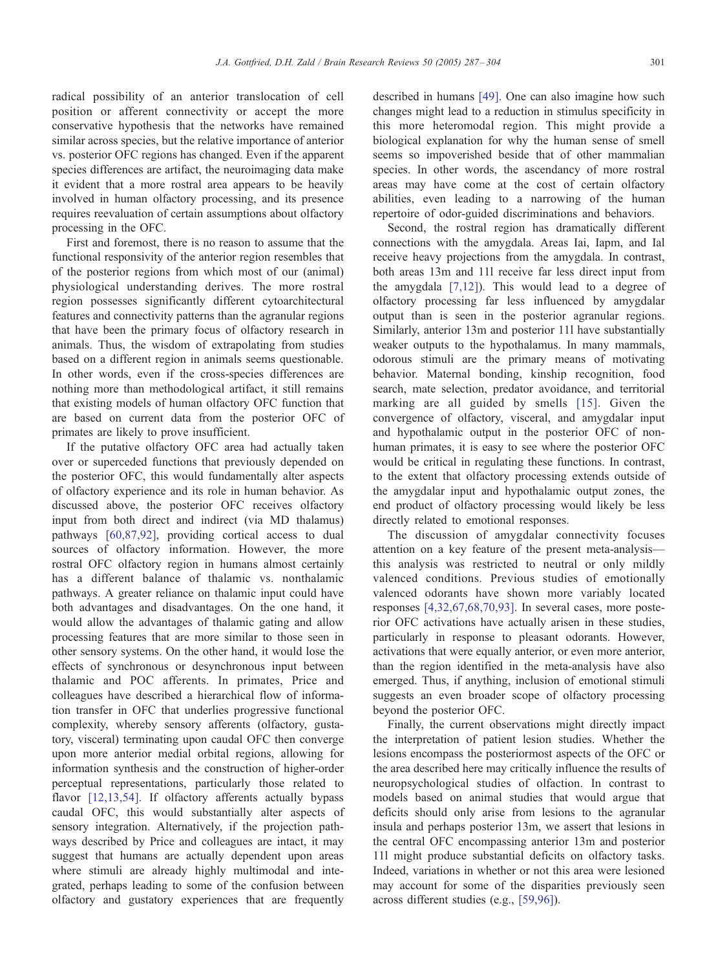radical possibility of an anterior translocation of cell position or afferent connectivity or accept the more conservative hypothesis that the networks have remained similar across species, but the relative importance of anterior vs. posterior OFC regions has changed. Even if the apparent species differences are artifact, the neuroimaging data make it evident that a more rostral area appears to be heavily involved in human olfactory processing, and its presence requires reevaluation of certain assumptions about olfactory processing in the OFC.

First and foremost, there is no reason to assume that the functional responsivity of the anterior region resembles that of the posterior regions from which most of our (animal) physiological understanding derives. The more rostral region possesses significantly different cytoarchitectural features and connectivity patterns than the agranular regions that have been the primary focus of olfactory research in animals. Thus, the wisdom of extrapolating from studies based on a different region in animals seems questionable. In other words, even if the cross-species differences are nothing more than methodological artifact, it still remains that existing models of human olfactory OFC function that are based on current data from the posterior OFC of primates are likely to prove insufficient.

If the putative olfactory OFC area had actually taken over or superceded functions that previously depended on the posterior OFC, this would fundamentally alter aspects of olfactory experience and its role in human behavior. As discussed above, the posterior OFC receives olfactory input from both direct and indirect (via MD thalamus) pathways [\[60,87,92\],](#page-16-0) providing cortical access to dual sources of olfactory information. However, the more rostral OFC olfactory region in humans almost certainly has a different balance of thalamic vs. nonthalamic pathways. A greater reliance on thalamic input could have both advantages and disadvantages. On the one hand, it would allow the advantages of thalamic gating and allow processing features that are more similar to those seen in other sensory systems. On the other hand, it would lose the effects of synchronous or desynchronous input between thalamic and POC afferents. In primates, Price and colleagues have described a hierarchical flow of information transfer in OFC that underlies progressive functional complexity, whereby sensory afferents (olfactory, gustatory, visceral) terminating upon caudal OFC then converge upon more anterior medial orbital regions, allowing for information synthesis and the construction of higher-order perceptual representations, particularly those related to flavor [\[12,13,54\].](#page-15-0) If olfactory afferents actually bypass caudal OFC, this would substantially alter aspects of sensory integration. Alternatively, if the projection pathways described by Price and colleagues are intact, it may suggest that humans are actually dependent upon areas where stimuli are already highly multimodal and integrated, perhaps leading to some of the confusion between olfactory and gustatory experiences that are frequently

described in humans [\[49\].](#page-16-0) One can also imagine how such changes might lead to a reduction in stimulus specificity in this more heteromodal region. This might provide a biological explanation for why the human sense of smell seems so impoverished beside that of other mammalian species. In other words, the ascendancy of more rostral areas may have come at the cost of certain olfactory abilities, even leading to a narrowing of the human repertoire of odor-guided discriminations and behaviors.

Second, the rostral region has dramatically different connections with the amygdala. Areas Iai, Iapm, and Ial receive heavy projections from the amygdala. In contrast, both areas 13m and 11l receive far less direct input from the amygdala  $[7,12]$ ). This would lead to a degree of olfactory processing far less influenced by amygdalar output than is seen in the posterior agranular regions. Similarly, anterior 13m and posterior 11l have substantially weaker outputs to the hypothalamus. In many mammals, odorous stimuli are the primary means of motivating behavior. Maternal bonding, kinship recognition, food search, mate selection, predator avoidance, and territorial marking are all guided by smells [\[15\].](#page-15-0) Given the convergence of olfactory, visceral, and amygdalar input and hypothalamic output in the posterior OFC of nonhuman primates, it is easy to see where the posterior OFC would be critical in regulating these functions. In contrast, to the extent that olfactory processing extends outside of the amygdalar input and hypothalamic output zones, the end product of olfactory processing would likely be less directly related to emotional responses.

The discussion of amygdalar connectivity focuses attention on a key feature of the present meta-analysis this analysis was restricted to neutral or only mildly valenced conditions. Previous studies of emotionally valenced odorants have shown more variably located responses [\[4,32,67,68,70,93\].](#page-15-0) In several cases, more posterior OFC activations have actually arisen in these studies, particularly in response to pleasant odorants. However, activations that were equally anterior, or even more anterior, than the region identified in the meta-analysis have also emerged. Thus, if anything, inclusion of emotional stimuli suggests an even broader scope of olfactory processing beyond the posterior OFC.

Finally, the current observations might directly impact the interpretation of patient lesion studies. Whether the lesions encompass the posteriormost aspects of the OFC or the area described here may critically influence the results of neuropsychological studies of olfaction. In contrast to models based on animal studies that would argue that deficits should only arise from lesions to the agranular insula and perhaps posterior 13m, we assert that lesions in the central OFC encompassing anterior 13m and posterior 11l might produce substantial deficits on olfactory tasks. Indeed, variations in whether or not this area were lesioned may account for some of the disparities previously seen across different studies (e.g., [\[59,96\]\)](#page-16-0).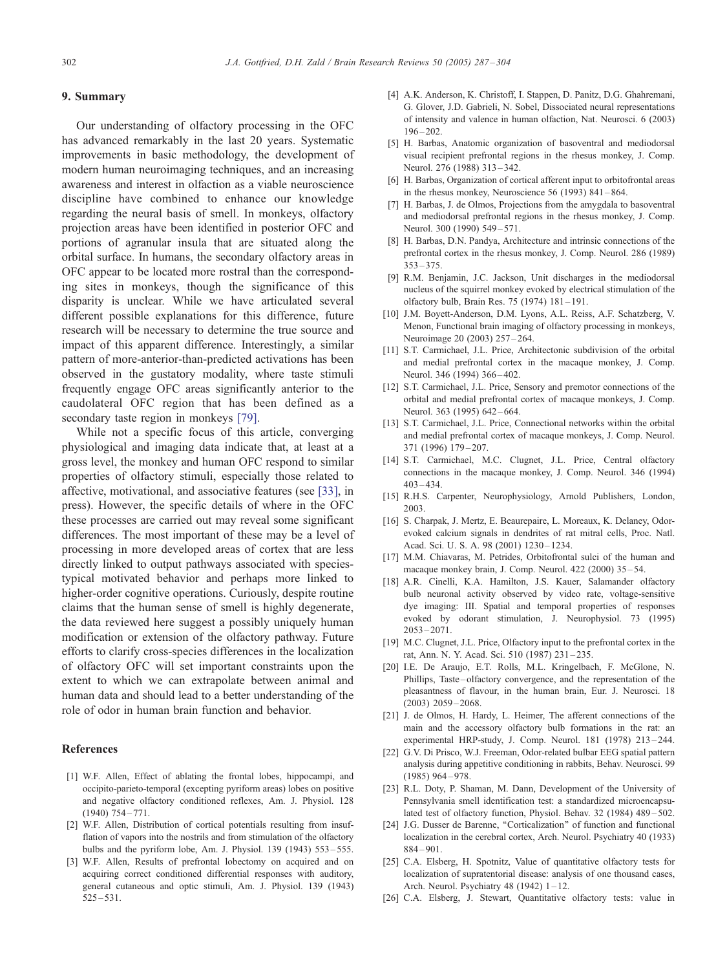# <span id="page-15-0"></span>9. Summary

Our understanding of olfactory processing in the OFC has advanced remarkably in the last 20 years. Systematic improvements in basic methodology, the development of modern human neuroimaging techniques, and an increasing awareness and interest in olfaction as a viable neuroscience discipline have combined to enhance our knowledge regarding the neural basis of smell. In monkeys, olfactory projection areas have been identified in posterior OFC and portions of agranular insula that are situated along the orbital surface. In humans, the secondary olfactory areas in OFC appear to be located more rostral than the corresponding sites in monkeys, though the significance of this disparity is unclear. While we have articulated several different possible explanations for this difference, future research will be necessary to determine the true source and impact of this apparent difference. Interestingly, a similar pattern of more-anterior-than-predicted activations has been observed in the gustatory modality, where taste stimuli frequently engage OFC areas significantly anterior to the caudolateral OFC region that has been defined as a secondary taste region in monkeys [\[79\].](#page-17-0)

While not a specific focus of this article, converging physiological and imaging data indicate that, at least at a gross level, the monkey and human OFC respond to similar properties of olfactory stimuli, especially those related to affective, motivational, and associative features (see [\[33\],](#page-16-0) in press). However, the specific details of where in the OFC these processes are carried out may reveal some significant differences. The most important of these may be a level of processing in more developed areas of cortex that are less directly linked to output pathways associated with speciestypical motivated behavior and perhaps more linked to higher-order cognitive operations. Curiously, despite routine claims that the human sense of smell is highly degenerate, the data reviewed here suggest a possibly uniquely human modification or extension of the olfactory pathway. Future efforts to clarify cross-species differences in the localization of olfactory OFC will set important constraints upon the extent to which we can extrapolate between animal and human data and should lead to a better understanding of the role of odor in human brain function and behavior.

### References

- [1] W.F. Allen, Effect of ablating the frontal lobes, hippocampi, and occipito-parieto-temporal (excepting pyriform areas) lobes on positive and negative olfactory conditioned reflexes, Am. J. Physiol. 128  $(1940)$  754 – 771.
- [2] W.F. Allen, Distribution of cortical potentials resulting from insufflation of vapors into the nostrils and from stimulation of the olfactory bulbs and the pyriform lobe, Am. J. Physiol.  $139$  (1943)  $553-555$ .
- [3] W.F. Allen, Results of prefrontal lobectomy on acquired and on acquiring correct conditioned differential responses with auditory, general cutaneous and optic stimuli, Am. J. Physiol. 139 (1943) 525 – 531.
- [4] A.K. Anderson, K. Christoff, I. Stappen, D. Panitz, D.G. Ghahremani, G. Glover, J.D. Gabrieli, N. Sobel, Dissociated neural representations of intensity and valence in human olfaction, Nat. Neurosci. 6 (2003)  $196 - 202.$
- [5] H. Barbas, Anatomic organization of basoventral and mediodorsal visual recipient prefrontal regions in the rhesus monkey, J. Comp. Neurol. 276 (1988) 313 – 342.
- [6] H. Barbas, Organization of cortical afferent input to orbitofrontal areas in the rhesus monkey, Neuroscience 56 (1993) 841 – 864.
- [7] H. Barbas, J. de Olmos, Projections from the amygdala to basoventral and mediodorsal prefrontal regions in the rhesus monkey, J. Comp. Neurol. 300 (1990) 549-571.
- [8] H. Barbas, D.N. Pandya, Architecture and intrinsic connections of the prefrontal cortex in the rhesus monkey, J. Comp. Neurol. 286 (1989)  $353 - 375$
- [9] R.M. Benjamin, J.C. Jackson, Unit discharges in the mediodorsal nucleus of the squirrel monkey evoked by electrical stimulation of the olfactory bulb, Brain Res. 75 (1974) 181 – 191.
- [10] J.M. Boyett-Anderson, D.M. Lyons, A.L. Reiss, A.F. Schatzberg, V. Menon, Functional brain imaging of olfactory processing in monkeys, Neuroimage 20 (2003) 257 – 264.
- [11] S.T. Carmichael, J.L. Price, Architectonic subdivision of the orbital and medial prefrontal cortex in the macaque monkey, J. Comp. Neurol. 346 (1994) 366-402.
- [12] S.T. Carmichael, J.L. Price, Sensory and premotor connections of the orbital and medial prefrontal cortex of macaque monkeys, J. Comp. Neurol. 363 (1995) 642-664.
- [13] S.T. Carmichael, J.L. Price, Connectional networks within the orbital and medial prefrontal cortex of macaque monkeys, J. Comp. Neurol. 371 (1996) 179 – 207.
- [14] S.T. Carmichael, M.C. Clugnet, J.L. Price, Central olfactory connections in the macaque monkey, J. Comp. Neurol. 346 (1994)  $403 - 434.$
- [15] R.H.S. Carpenter, Neurophysiology, Arnold Publishers, London, 2003.
- [16] S. Charpak, J. Mertz, E. Beaurepaire, L. Moreaux, K. Delaney, Odorevoked calcium signals in dendrites of rat mitral cells, Proc. Natl. Acad. Sci. U. S. A. 98 (2001) 1230 – 1234.
- [17] M.M. Chiavaras, M. Petrides, Orbitofrontal sulci of the human and macaque monkey brain, J. Comp. Neurol. 422 (2000) 35 – 54.
- [18] A.R. Cinelli, K.A. Hamilton, J.S. Kauer, Salamander olfactory bulb neuronal activity observed by video rate, voltage-sensitive dye imaging: III. Spatial and temporal properties of responses evoked by odorant stimulation, J. Neurophysiol. 73 (1995) 2053 – 2071.
- [19] M.C. Clugnet, J.L. Price, Olfactory input to the prefrontal cortex in the rat, Ann. N. Y. Acad. Sci. 510 (1987) 231 – 235.
- [20] I.E. De Araujo, E.T. Rolls, M.L. Kringelbach, F. McGlone, N. Phillips, Taste-olfactory convergence, and the representation of the pleasantness of flavour, in the human brain, Eur. J. Neurosci. 18 (2003) 2059 – 2068.
- [21] J. de Olmos, H. Hardy, L. Heimer, The afferent connections of the main and the accessory olfactory bulb formations in the rat: an experimental HRP-study, J. Comp. Neurol. 181 (1978) 213-244.
- [22] G.V. Di Prisco, W.J. Freeman, Odor-related bulbar EEG spatial pattern analysis during appetitive conditioning in rabbits, Behav. Neurosci. 99 (1985) 964 – 978.
- [23] R.L. Doty, P. Shaman, M. Dann, Development of the University of Pennsylvania smell identification test: a standardized microencapsulated test of olfactory function, Physiol. Behav. 32 (1984) 489–502.
- [24] J.G. Dusser de Barenne, "Corticalization" of function and functional localization in the cerebral cortex, Arch. Neurol. Psychiatry 40 (1933) 884 – 901.
- [25] C.A. Elsberg, H. Spotnitz, Value of quantitative olfactory tests for localization of supratentorial disease: analysis of one thousand cases, Arch. Neurol. Psychiatry 48 (1942)  $1-12$ .
- [26] C.A. Elsberg, J. Stewart, Quantitative olfactory tests: value in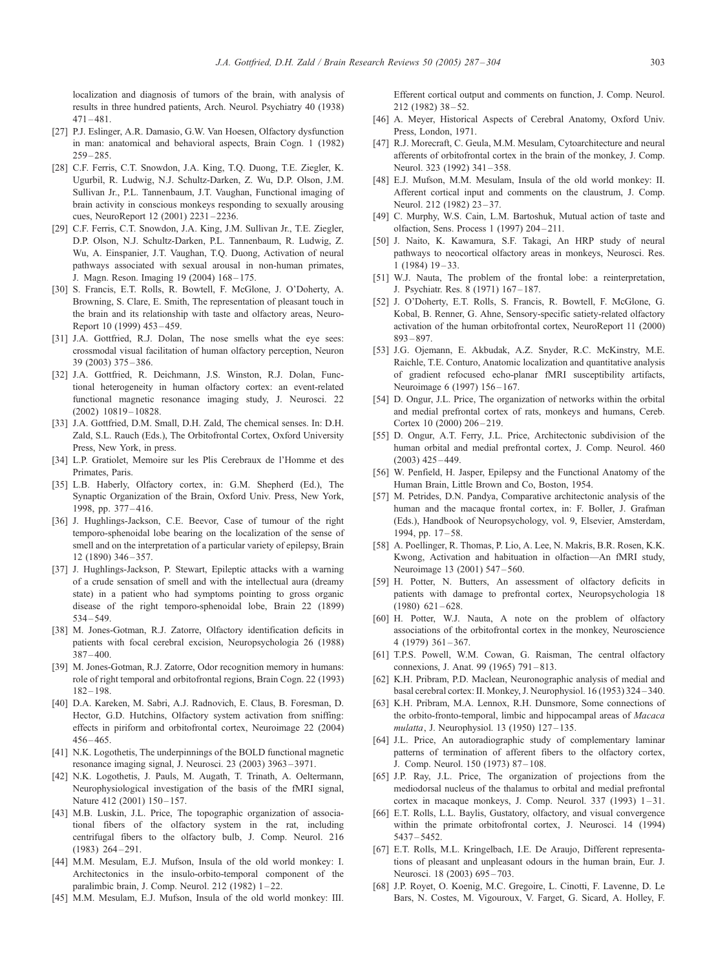<span id="page-16-0"></span>localization and diagnosis of tumors of the brain, with analysis of results in three hundred patients, Arch. Neurol. Psychiatry 40 (1938)  $471 - 481.$ 

- [27] P.J. Eslinger, A.R. Damasio, G.W. Van Hoesen, Olfactory dysfunction in man: anatomical and behavioral aspects, Brain Cogn. 1 (1982)  $259 - 285$
- [28] C.F. Ferris, C.T. Snowdon, J.A. King, T.Q. Duong, T.E. Ziegler, K. Ugurbil, R. Ludwig, N.J. Schultz-Darken, Z. Wu, D.P. Olson, J.M. Sullivan Jr., P.L. Tannenbaum, J.T. Vaughan, Functional imaging of brain activity in conscious monkeys responding to sexually arousing cues, NeuroReport 12 (2001) 2231 – 2236.
- [29] C.F. Ferris, C.T. Snowdon, J.A. King, J.M. Sullivan Jr., T.E. Ziegler, D.P. Olson, N.J. Schultz-Darken, P.L. Tannenbaum, R. Ludwig, Z. Wu, A. Einspanier, J.T. Vaughan, T.Q. Duong, Activation of neural pathways associated with sexual arousal in non-human primates, J. Magn. Reson. Imaging 19 (2004) 168 – 175.
- [30] S. Francis, E.T. Rolls, R. Bowtell, F. McGlone, J. O'Doherty, A. Browning, S. Clare, E. Smith, The representation of pleasant touch in the brain and its relationship with taste and olfactory areas, Neuro-Report 10 (1999) 453 – 459.
- [31] J.A. Gottfried, R.J. Dolan, The nose smells what the eye sees: crossmodal visual facilitation of human olfactory perception, Neuron 39 (2003) 375 – 386.
- [32] J.A. Gottfried, R. Deichmann, J.S. Winston, R.J. Dolan, Functional heterogeneity in human olfactory cortex: an event-related functional magnetic resonance imaging study, J. Neurosci. 22  $(2002)$  10819 – 10828
- [33] J.A. Gottfried, D.M. Small, D.H. Zald, The chemical senses. In: D.H. Zald, S.L. Rauch (Eds.), The Orbitofrontal Cortex, Oxford University Press, New York, in press.
- [34] L.P. Gratiolet, Memoire sur les Plis Cerebraux de l'Homme et des Primates, Paris.
- [35] L.B. Haberly, Olfactory cortex, in: G.M. Shepherd (Ed.), The Synaptic Organization of the Brain, Oxford Univ. Press, New York, 1998, pp. 377 – 416.
- [36] J. Hughlings-Jackson, C.E. Beevor, Case of tumour of the right temporo-sphenoidal lobe bearing on the localization of the sense of smell and on the interpretation of a particular variety of epilepsy, Brain 12 (1890) 346 – 357.
- [37] J. Hughlings-Jackson, P. Stewart, Epileptic attacks with a warning of a crude sensation of smell and with the intellectual aura (dreamy state) in a patient who had symptoms pointing to gross organic disease of the right temporo-sphenoidal lobe, Brain 22 (1899) 534 – 549.
- [38] M. Jones-Gotman, R.J. Zatorre, Olfactory identification deficits in patients with focal cerebral excision, Neuropsychologia 26 (1988)  $387 - 400$
- [39] M. Jones-Gotman, R.J. Zatorre, Odor recognition memory in humans: role of right temporal and orbitofrontal regions, Brain Cogn. 22 (1993)  $182 - 198$ .
- [40] D.A. Kareken, M. Sabri, A.J. Radnovich, E. Claus, B. Foresman, D. Hector, G.D. Hutchins, Olfactory system activation from sniffing: effects in piriform and orbitofrontal cortex, Neuroimage 22 (2004)  $456 - 465$
- [41] N.K. Logothetis, The underpinnings of the BOLD functional magnetic resonance imaging signal, J. Neurosci. 23 (2003) 3963 – 3971.
- [42] N.K. Logothetis, J. Pauls, M. Augath, T. Trinath, A. Oeltermann, Neurophysiological investigation of the basis of the fMRI signal, Nature 412 (2001) 150-157.
- [43] M.B. Luskin, J.L. Price, The topographic organization of associational fibers of the olfactory system in the rat, including centrifugal fibers to the olfactory bulb, J. Comp. Neurol. 216  $(1983)$  264 – 291.
- [44] M.M. Mesulam, E.J. Mufson, Insula of the old world monkey: I. Architectonics in the insulo-orbito-temporal component of the paralimbic brain, J. Comp. Neurol. 212 (1982) 1 – 22.
- [45] M.M. Mesulam, E.J. Mufson, Insula of the old world monkey: III.

Efferent cortical output and comments on function, J. Comp. Neurol. 212 (1982) 38 – 52.

- [46] A. Meyer, Historical Aspects of Cerebral Anatomy, Oxford Univ. Press, London, 1971.
- [47] R.J. Morecraft, C. Geula, M.M. Mesulam, Cytoarchitecture and neural afferents of orbitofrontal cortex in the brain of the monkey, J. Comp. Neurol. 323 (1992) 341 – 358.
- [48] E.J. Mufson, M.M. Mesulam, Insula of the old world monkey: II. Afferent cortical input and comments on the claustrum, J. Comp. Neurol. 212 (1982) 23-37.
- [49] C. Murphy, W.S. Cain, L.M. Bartoshuk, Mutual action of taste and olfaction, Sens. Process 1 (1997) 204 – 211.
- [50] J. Naito, K. Kawamura, S.F. Takagi, An HRP study of neural pathways to neocortical olfactory areas in monkeys, Neurosci. Res.  $1(1984) 19 - 33.$
- [51] W.J. Nauta, The problem of the frontal lobe: a reinterpretation, J. Psychiatr. Res. 8 (1971) 167 – 187.
- [52] J. O'Doherty, E.T. Rolls, S. Francis, R. Bowtell, F. McGlone, G. Kobal, B. Renner, G. Ahne, Sensory-specific satiety-related olfactory activation of the human orbitofrontal cortex, NeuroReport 11 (2000)  $893 - 897.$
- [53] J.G. Ojemann, E. Akbudak, A.Z. Snyder, R.C. McKinstry, M.E. Raichle, T.E. Conturo, Anatomic localization and quantitative analysis of gradient refocused echo-planar fMRI susceptibility artifacts, Neuroimage 6 (1997) 156-167.
- [54] D. Ongur, J.L. Price, The organization of networks within the orbital and medial prefrontal cortex of rats, monkeys and humans, Cereb. Cortex 10 (2000) 206 – 219.
- [55] D. Ongur, A.T. Ferry, J.L. Price, Architectonic subdivision of the human orbital and medial prefrontal cortex, J. Comp. Neurol. 460  $(2003)$  425 – 449
- [56] W. Penfield, H. Jasper, Epilepsy and the Functional Anatomy of the Human Brain, Little Brown and Co, Boston, 1954.
- [57] M. Petrides, D.N. Pandya, Comparative architectonic analysis of the human and the macaque frontal cortex, in: F. Boller, J. Grafman (Eds.), Handbook of Neuropsychology, vol. 9, Elsevier, Amsterdam,  $1994$  pp.  $17 - 58$ .
- [58] A. Poellinger, R. Thomas, P. Lio, A. Lee, N. Makris, B.R. Rosen, K.K. Kwong, Activation and habituation in olfaction—An fMRI study, Neuroimage 13 (2001) 547 – 560.
- [59] H. Potter, N. Butters, An assessment of olfactory deficits in patients with damage to prefrontal cortex, Neuropsychologia 18  $(1980)$  621-628.
- [60] H. Potter, W.J. Nauta, A note on the problem of olfactory associations of the orbitofrontal cortex in the monkey, Neuroscience 4 (1979) 361 – 367.
- [61] T.P.S. Powell, W.M. Cowan, G. Raisman, The central olfactory connexions, J. Anat. 99 (1965) 791 – 813.
- [62] K.H. Pribram, P.D. Maclean, Neuronographic analysis of medial and basal cerebral cortex: II. Monkey, J. Neurophysiol. 16 (1953) 324 – 340.
- [63] K.H. Pribram, M.A. Lennox, R.H. Dunsmore, Some connections of the orbito-fronto-temporal, limbic and hippocampal areas of Macaca mulatta, J. Neurophysiol. 13 (1950) 127 – 135.
- [64] J.L. Price, An autoradiographic study of complementary laminar patterns of termination of afferent fibers to the olfactory cortex, J. Comp. Neurol. 150 (1973) 87 – 108.
- [65] J.P. Ray, J.L. Price, The organization of projections from the mediodorsal nucleus of the thalamus to orbital and medial prefrontal cortex in macaque monkeys, J. Comp. Neurol.  $337$  (1993)  $1-31$ .
- [66] E.T. Rolls, L.L. Baylis, Gustatory, olfactory, and visual convergence within the primate orbitofrontal cortex, J. Neurosci. 14 (1994) 5437 – 5452.
- [67] E.T. Rolls, M.L. Kringelbach, I.E. De Araujo, Different representations of pleasant and unpleasant odours in the human brain, Eur. J. Neurosci. 18 (2003) 695-703.
- [68] J.P. Royet, O. Koenig, M.C. Gregoire, L. Cinotti, F. Lavenne, D. Le Bars, N. Costes, M. Vigouroux, V. Farget, G. Sicard, A. Holley, F.